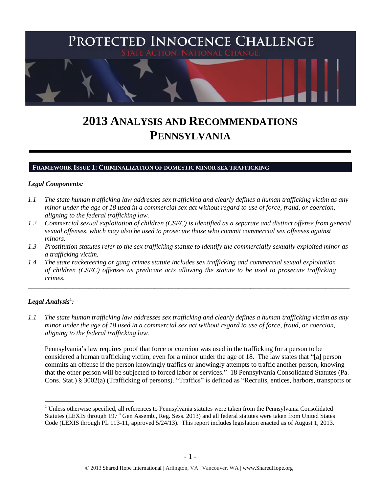

# **2013 ANALYSIS AND RECOMMENDATIONS PENNSYLVANIA**

#### **FRAMEWORK ISSUE 1: CRIMINALIZATION OF DOMESTIC MINOR SEX TRAFFICKING**

#### *Legal Components:*

- *1.1 The state human trafficking law addresses sex trafficking and clearly defines a human trafficking victim as any minor under the age of 18 used in a commercial sex act without regard to use of force, fraud, or coercion, aligning to the federal trafficking law.*
- *1.2 Commercial sexual exploitation of children (CSEC) is identified as a separate and distinct offense from general sexual offenses, which may also be used to prosecute those who commit commercial sex offenses against minors.*
- *1.3 Prostitution statutes refer to the sex trafficking statute to identify the commercially sexually exploited minor as a trafficking victim.*

\_\_\_\_\_\_\_\_\_\_\_\_\_\_\_\_\_\_\_\_\_\_\_\_\_\_\_\_\_\_\_\_\_\_\_\_\_\_\_\_\_\_\_\_\_\_\_\_\_\_\_\_\_\_\_\_\_\_\_\_\_\_\_\_\_\_\_\_\_\_\_\_\_\_\_\_\_\_\_\_\_\_\_\_\_\_\_\_\_\_\_\_\_\_

*1.4 The state racketeering or gang crimes statute includes sex trafficking and commercial sexual exploitation of children (CSEC) offenses as predicate acts allowing the statute to be used to prosecute trafficking crimes.* 

## $\bm{L}$ egal Analysis $^1$ :

 $\overline{a}$ 

*1.1 The state human trafficking law addresses sex trafficking and clearly defines a human trafficking victim as any minor under the age of 18 used in a commercial sex act without regard to use of force, fraud, or coercion, aligning to the federal trafficking law.*

Pennsylvania's law requires proof that force or coercion was used in the trafficking for a person to be considered a human trafficking victim, even for a minor under the age of 18. The law states that "[a] person commits an offense if the person knowingly traffics or knowingly attempts to traffic another person, knowing that the other person will be subjected to forced labor or services." 18 Pennsylvania Consolidated Statutes (Pa. Cons. Stat.) § 3002(a) (Trafficking of persons). "Traffics" is defined as "Recruits, entices, harbors, transports or

 $1$  Unless otherwise specified, all references to Pennsylvania statutes were taken from the Pennsylvania Consolidated Statutes (LEXIS through 197<sup>th</sup> Gen Assemb., Reg. Sess. 2013) and all federal statutes were taken from United States Code (LEXIS through PL 113-11, approved 5/24/13). This report includes legislation enacted as of August 1, 2013.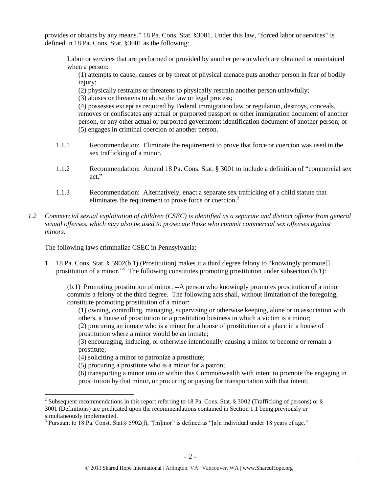provides or obtains by any means." 18 Pa. Cons. Stat. §3001. Under this law, "forced labor or services" is defined in 18 Pa. Cons. Stat. §3001 as the following:

Labor or services that are performed or provided by another person which are obtained or maintained when a person:

(1) attempts to cause, causes or by threat of physical menace puts another person in fear of bodily injury;

(2) physically restrains or threatens to physically restrain another person unlawfully;

(3) abuses or threatens to abuse the law or legal process;

(4) possesses except as required by Federal immigration law or regulation, destroys, conceals, removes or confiscates any actual or purported passport or other immigration document of another person, or any other actual or purported government identification document of another person; or (5) engages in criminal coercion of another person.

- 1.1.1 Recommendation: Eliminate the requirement to prove that force or coercion was used in the sex trafficking of a minor.
- 1.1.2 Recommendation: Amend 18 Pa. Cons. Stat. § 3001 to include a definition of "commercial sex act."
- 1.1.3 Recommendation: Alternatively, enact a separate sex trafficking of a child statute that eliminates the requirement to prove force or coercion.<sup>2</sup>
- *1.2 Commercial sexual exploitation of children (CSEC) is identified as a separate and distinct offense from general sexual offenses, which may also be used to prosecute those who commit commercial sex offenses against minors.*

The following laws criminalize CSEC in Pennsylvania:

1. 18 Pa. Cons. Stat. § 5902(b.1) (Prostitution) makes it a third degree felony to "knowingly promote[] prostitution of a minor."<sup>3</sup> The following constitutes promoting prostitution under subsection (b.1):

(b.1) Promoting prostitution of minor. --A person who knowingly promotes prostitution of a minor commits a felony of the third degree. The following acts shall, without limitation of the foregoing, constitute promoting prostitution of a minor:

(1) owning, controlling, managing, supervising or otherwise keeping, alone or in association with others, a house of prostitution or a prostitution business in which a victim is a minor;

(2) procuring an inmate who is a minor for a house of prostitution or a place in a house of prostitution where a minor would be an inmate;

(3) encouraging, inducing, or otherwise intentionally causing a minor to become or remain a prostitute;

(4) soliciting a minor to patronize a prostitute;

(5) procuring a prostitute who is a minor for a patron;

(6) transporting a minor into or within this Commonwealth with intent to promote the engaging in prostitution by that minor, or procuring or paying for transportation with that intent;

 $\overline{a}$ <sup>2</sup> Subsequent recommendations in this report referring to 18 Pa. Cons. Stat. § 3002 (Trafficking of persons) or § 3001 (Definitions) are predicated upon the recommendations contained in Section 1.1 being previously or simultaneously implemented.

<sup>&</sup>lt;sup>3</sup> Pursuant to 18 Pa. Const. Stat.§ 5902(f), "[m]inor" is defined as "[a]n individual under 18 years of age."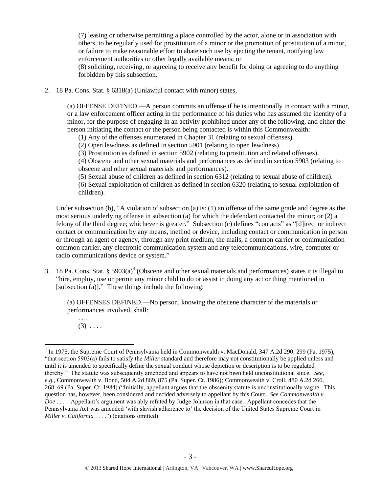(7) leasing or otherwise permitting a place controlled by the actor, alone or in association with others, to be regularly used for prostitution of a minor or the promotion of prostitution of a minor, or failure to make reasonable effort to abate such use by ejecting the tenant, notifying law enforcement authorities or other legally available means; or (8) soliciting, receiving, or agreeing to receive any benefit for doing or agreeing to do anything forbidden by this subsection.

2. 18 Pa. Cons. Stat. § 6318(a) (Unlawful contact with minor) states,

(a) OFFENSE DEFINED.—A person commits an offense if he is intentionally in contact with a minor, or a law enforcement officer acting in the performance of his duties who has assumed the identity of a minor, for the purpose of engaging in an activity prohibited under any of the following, and either the person initiating the contact or the person being contacted is within this Commonwealth:

(1) Any of the offenses enumerated in Chapter 31 (relating to sexual offenses).

(2) Open lewdness as defined in section 5901 (relating to open lewdness).

(3) Prostitution as defined in section 5902 (relating to prostitution and related offenses).

(4) Obscene and other sexual materials and performances as defined in section 5903 (relating to obscene and other sexual materials and performances).

(5) Sexual abuse of children as defined in section 6312 (relating to sexual abuse of children). (6) Sexual exploitation of children as defined in section 6320 (relating to sexual exploitation of children).

Under subsection (b), "A violation of subsection (a) is: (1) an offense of the same grade and degree as the most serious underlying offense in subsection (a) for which the defendant contacted the minor; or (2) a felony of the third degree; whichever is greater." Subsection (c) defines "contacts" as "[d]irect or indirect contact or communication by any means, method or device, including contact or communication in person or through an agent or agency, through any print medium, the mails, a common carrier or communication common carrier, any electronic communication system and any telecommunications, wire, computer or radio communications device or system."

3. 18 Pa. Cons. Stat.  $\S 5903(a)^4$  (Obscene and other sexual materials and performances) states it is illegal to "hire, employ, use or permit any minor child to do or assist in doing any act or thing mentioned in [subsection (a)]." These things include the following:

(a) OFFENSES DEFINED.—No person, knowing the obscene character of the materials or performances involved, shall:

. . .  $(3) \ldots$ 

<sup>&</sup>lt;sup>4</sup> In 1975, the Supreme Court of Pennsylvania held in Commonwealth v. MacDonald, 347 A.2d 290, 299 (Pa. 1975), "that section 5903(a) fails to satisfy the *Miller* standard and therefore may not constitutionally be applied unless and until it is amended to specifically define the sexual conduct whose depiction or description is to be regulated thereby." The statute was subsequently amended and appears to have not been held unconstitutional since. *See, e.g.*, Commonwealth v. Bond, 504 A.2d 869, 875 (Pa. Super. Ct. 1986); Commonwealth v. Croll, 480 A.2d 266, 268–69 (Pa. Super. Ct. 1984) ("Initially, appellant argues that the obscenity statute is unconstitutionally vague. This question has, however, been considered and decided adversely to appellant by this Court. *See Commonwealth v. Doe* . . . . Appellant's argument was ably refuted by Judge Johnson in that case. Appellant concedes that the Pennsylvania Act was amended 'with slavish adherence to' the decision of the United States Supreme Court in *Miller v. California* . . . .") (citations omitted).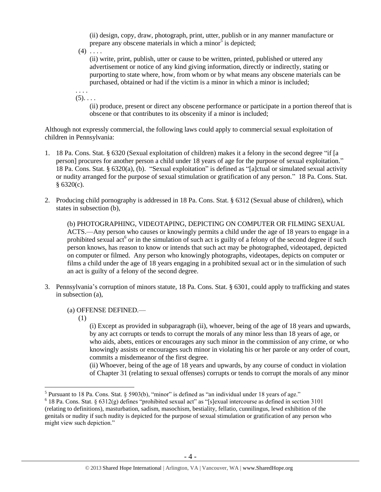(ii) design, copy, draw, photograph, print, utter, publish or in any manner manufacture or prepare any obscene materials in which a minor<sup>5</sup> is depicted;

 $(4)$  . . . .

(ii) write, print, publish, utter or cause to be written, printed, published or uttered any advertisement or notice of any kind giving information, directly or indirectly, stating or purporting to state where, how, from whom or by what means any obscene materials can be purchased, obtained or had if the victim is a minor in which a minor is included;

. . . .  $(5)$ . . . .

> (ii) produce, present or direct any obscene performance or participate in a portion thereof that is obscene or that contributes to its obscenity if a minor is included;

Although not expressly commercial, the following laws could apply to commercial sexual exploitation of children in Pennsylvania:

- 1. 18 Pa. Cons. Stat. § 6320 (Sexual exploitation of children) makes it a felony in the second degree "if [a person] procures for another person a child under 18 years of age for the purpose of sexual exploitation." 18 Pa. Cons. Stat. § 6320(a), (b). "Sexual exploitation" is defined as "[a]ctual or simulated sexual activity or nudity arranged for the purpose of sexual stimulation or gratification of any person." 18 Pa. Cons. Stat.  $§ 6320(c).$
- 2. Producing child pornography is addressed in 18 Pa. Cons. Stat. § 6312 (Sexual abuse of children), which states in subsection (b),

(b) PHOTOGRAPHING, VIDEOTAPING, DEPICTING ON COMPUTER OR FILMING SEXUAL ACTS.—Any person who causes or knowingly permits a child under the age of 18 years to engage in a prohibited sexual act<sup>6</sup> or in the simulation of such act is guilty of a felony of the second degree if such person knows, has reason to know or intends that such act may be photographed, videotaped, depicted on computer or filmed. Any person who knowingly photographs, videotapes, depicts on computer or films a child under the age of 18 years engaging in a prohibited sexual act or in the simulation of such an act is guilty of a felony of the second degree.

3. Pennsylvania's corruption of minors statute, 18 Pa. Cons. Stat. § 6301, could apply to trafficking and states in subsection (a),

(a) OFFENSE DEFINED.—

(1)

(i) Except as provided in subparagraph (ii), whoever, being of the age of 18 years and upwards, by any act corrupts or tends to corrupt the morals of any minor less than 18 years of age, or who aids, abets, entices or encourages any such minor in the commission of any crime, or who knowingly assists or encourages such minor in violating his or her parole or any order of court, commits a misdemeanor of the first degree.

(ii) Whoever, being of the age of 18 years and upwards, by any course of conduct in violation of Chapter 31 (relating to sexual offenses) corrupts or tends to corrupt the morals of any minor

<sup>&</sup>lt;sup>5</sup> Pursuant to 18 Pa. Cons. Stat. § 5903(b), "minor" is defined as "an individual under 18 years of age."

 $6$  18 Pa. Cons. Stat. § 6312(g) defines "prohibited sexual act" as "[s]exual intercourse as defined in section 3101 (relating to definitions), masturbation, sadism, masochism, bestiality, fellatio, cunnilingus, lewd exhibition of the genitals or nudity if such nudity is depicted for the purpose of sexual stimulation or gratification of any person who might view such depiction."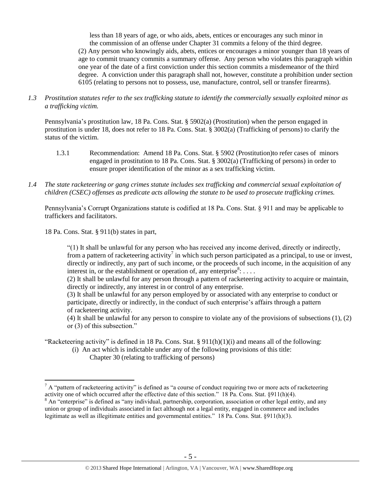less than 18 years of age, or who aids, abets, entices or encourages any such minor in the commission of an offense under Chapter 31 commits a felony of the third degree. (2) Any person who knowingly aids, abets, entices or encourages a minor younger than 18 years of age to commit truancy commits a summary offense. Any person who violates this paragraph within one year of the date of a first conviction under this section commits a misdemeanor of the third degree. A conviction under this paragraph shall not, however, constitute a prohibition under section 6105 (relating to persons not to possess, use, manufacture, control, sell or transfer firearms).

*1.3 Prostitution statutes refer to the sex trafficking statute to identify the commercially sexually exploited minor as a trafficking victim.* 

Pennsylvania's prostitution law, 18 Pa. Cons. Stat. § 5902(a) (Prostitution) when the person engaged in prostitution is under 18, does not refer to 18 Pa. Cons. Stat. § 3002(a) (Trafficking of persons) to clarify the status of the victim.

- 1.3.1 Recommendation: Amend 18 Pa. Cons. Stat. § 5902 (Prostitution)to refer cases of minors engaged in prostitution to 18 Pa. Cons. Stat. § 3002(a) (Trafficking of persons) in order to ensure proper identification of the minor as a sex trafficking victim.
- *1.4 The state racketeering or gang crimes statute includes sex trafficking and commercial sexual exploitation of children (CSEC) offenses as predicate acts allowing the statute to be used to prosecute trafficking crimes.*

Pennsylvania's Corrupt Organizations statute is codified at 18 Pa. Cons. Stat. § 911 and may be applicable to traffickers and facilitators.

18 Pa. Cons. Stat. § 911(b) states in part,

 $\overline{a}$ 

"(1) It shall be unlawful for any person who has received any income derived, directly or indirectly, from a pattern of racketeering activity<sup>7</sup> in which such person participated as a principal, to use or invest, directly or indirectly, any part of such income, or the proceeds of such income, in the acquisition of any interest in, or the establishment or operation of, any enterprise<sup>8</sup>: ....

(2) It shall be unlawful for any person through a pattern of racketeering activity to acquire or maintain, directly or indirectly, any interest in or control of any enterprise.

(3) It shall be unlawful for any person employed by or associated with any enterprise to conduct or participate, directly or indirectly, in the conduct of such enterprise's affairs through a pattern of racketeering activity.

(4) It shall be unlawful for any person to conspire to violate any of the provisions of subsections (1), (2) or (3) of this subsection."

"Racketeering activity" is defined in 18 Pa. Cons. Stat. § 911(h)(1)(i) and means all of the following:

 (i) An act which is indictable under any of the following provisions of this title: Chapter 30 (relating to trafficking of persons)

 $^7$  A "pattern of racketeering activity" is defined as "a course of conduct requiring two or more acts of racketeering activity one of which occurred after the effective date of this section." 18 Pa. Cons. Stat. §911(h)(4).

<sup>&</sup>lt;sup>8</sup> An "enterprise" is defined as "any individual, partnership, corporation, association or other legal entity, and any union or group of individuals associated in fact although not a legal entity, engaged in commerce and includes legitimate as well as illegitimate entities and governmental entities." 18 Pa. Cons. Stat. §911(h)(3).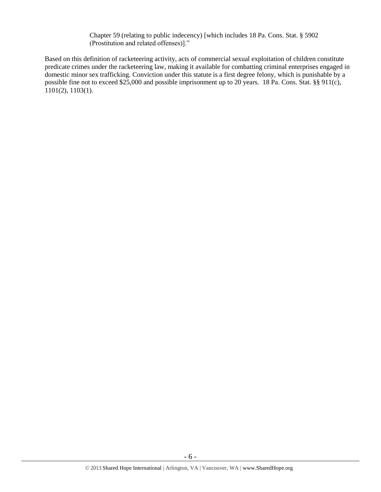Chapter 59 (relating to public indecency) [which includes 18 Pa. Cons. Stat. § 5902 (Prostitution and related offenses)]."

Based on this definition of racketeering activity, acts of commercial sexual exploitation of children constitute predicate crimes under the racketeering law, making it available for combatting criminal enterprises engaged in domestic minor sex trafficking. Conviction under this statute is a first degree felony, which is punishable by a possible fine not to exceed \$25,000 and possible imprisonment up to 20 years. 18 Pa. Cons. Stat. §§ 911(c), 1101(2), 1103(1).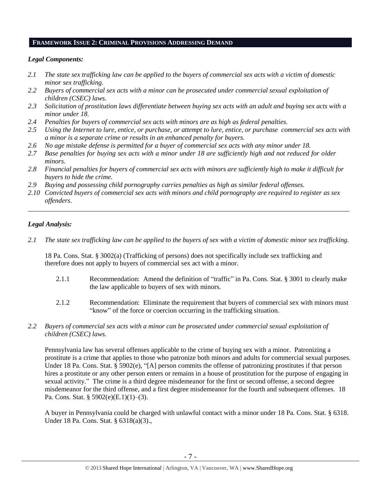#### **FRAMEWORK ISSUE 2: CRIMINAL PROVISIONS ADDRESSING DEMAND**

#### *Legal Components:*

- *2.1 The state sex trafficking law can be applied to the buyers of commercial sex acts with a victim of domestic minor sex trafficking.*
- *2.2 Buyers of commercial sex acts with a minor can be prosecuted under commercial sexual exploitation of children (CSEC) laws.*
- *2.3 Solicitation of prostitution laws differentiate between buying sex acts with an adult and buying sex acts with a minor under 18.*
- *2.4 Penalties for buyers of commercial sex acts with minors are as high as federal penalties.*
- *2.5 Using the Internet to lure, entice, or purchase, or attempt to lure, entice, or purchase commercial sex acts with a minor is a separate crime or results in an enhanced penalty for buyers.*
- *2.6 No age mistake defense is permitted for a buyer of commercial sex acts with any minor under 18.*
- *2.7 Base penalties for buying sex acts with a minor under 18 are sufficiently high and not reduced for older minors.*
- *2.8 Financial penalties for buyers of commercial sex acts with minors are sufficiently high to make it difficult for buyers to hide the crime.*
- *2.9 Buying and possessing child pornography carries penalties as high as similar federal offenses.*
- *2.10 Convicted buyers of commercial sex acts with minors and child pornography are required to register as sex offenders*.

\_\_\_\_\_\_\_\_\_\_\_\_\_\_\_\_\_\_\_\_\_\_\_\_\_\_\_\_\_\_\_\_\_\_\_\_\_\_\_\_\_\_\_\_\_\_\_\_\_\_\_\_\_\_\_\_\_\_\_\_\_\_\_\_\_\_\_\_\_\_\_\_\_\_\_\_\_\_\_\_\_\_\_\_\_\_\_\_\_\_\_\_\_\_

#### *Legal Analysis:*

*2.1 The state sex trafficking law can be applied to the buyers of sex with a victim of domestic minor sex trafficking.*

18 Pa. Cons. Stat. § 3002(a) (Trafficking of persons) does not specifically include sex trafficking and therefore does not apply to buyers of commercial sex act with a minor.

- 2.1.1 Recommendation: Amend the definition of "traffic" in Pa. Cons. Stat. § 3001 to clearly make the law applicable to buyers of sex with minors.
- 2.1.2 Recommendation: Eliminate the requirement that buyers of commercial sex with minors must "know" of the force or coercion occurring in the trafficking situation.
- *2.2 Buyers of commercial sex acts with a minor can be prosecuted under commercial sexual exploitation of children (CSEC) laws.*

Pennsylvania law has several offenses applicable to the crime of buying sex with a minor. Patronizing a prostitute is a crime that applies to those who patronize both minors and adults for commercial sexual purposes. Under 18 Pa. Cons. Stat. § 5902(e), "[A] person commits the offense of patronizing prostitutes if that person hires a prostitute or any other person enters or remains in a house of prostitution for the purpose of engaging in sexual activity." The crime is a third degree misdemeanor for the first or second offense, a second degree misdemeanor for the third offense, and a first degree misdemeanor for the fourth and subsequent offenses. 18 Pa. Cons. Stat. § 5902(e)(E.1)(1)–(3).

A buyer in Pennsylvania could be charged with unlawful contact with a minor under 18 Pa. Cons. Stat. § 6318. Under 18 Pa. Cons. Stat. § 6318(a)(3).,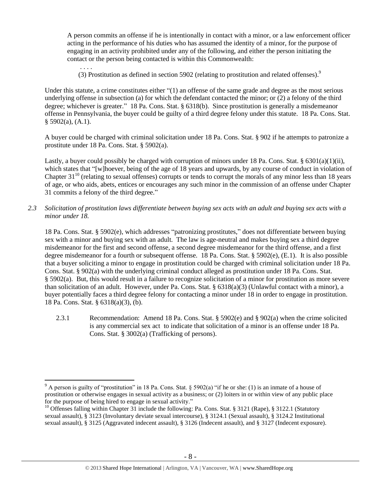A person commits an offense if he is intentionally in contact with a minor, or a law enforcement officer acting in the performance of his duties who has assumed the identity of a minor, for the purpose of engaging in an activity prohibited under any of the following, and either the person initiating the contact or the person being contacted is within this Commonwealth:

. . . . (3) Prostitution as defined in section 5902 (relating to prostitution and related offenses). $9$ 

Under this statute, a crime constitutes either "(1) an offense of the same grade and degree as the most serious underlying offense in subsection (a) for which the defendant contacted the minor; or (2) a felony of the third degree; whichever is greater." 18 Pa. Cons. Stat. § 6318(b). Since prostitution is generally a misdemeanor offense in Pennsylvania, the buyer could be guilty of a third degree felony under this statute. 18 Pa. Cons. Stat.  $§$  5902(a), (A.1).

A buyer could be charged with criminal solicitation under 18 Pa. Cons. Stat. § 902 if he attempts to patronize a prostitute under 18 Pa. Cons. Stat. § 5902(a).

Lastly, a buyer could possibly be charged with corruption of minors under 18 Pa. Cons. Stat. § 6301(a)(1)(ii), which states that "[w]hoever, being of the age of 18 years and upwards, by any course of conduct in violation of Chapter  $31^{10}$  (relating to sexual offenses) corrupts or tends to corrupt the morals of any minor less than 18 years of age, or who aids, abets, entices or encourages any such minor in the commission of an offense under Chapter 31 commits a felony of the third degree."

*2.3 Solicitation of prostitution laws differentiate between buying sex acts with an adult and buying sex acts with a minor under 18.*

18 Pa. Cons. Stat. § 5902(e), which addresses "patronizing prostitutes," does not differentiate between buying sex with a minor and buying sex with an adult. The law is age-neutral and makes buying sex a third degree misdemeanor for the first and second offense, a second degree misdemeanor for the third offense, and a first degree misdemeanor for a fourth or subsequent offense. 18 Pa. Cons. Stat. § 5902(e), (E.1). It is also possible that a buyer soliciting a minor to engage in prostitution could be charged with criminal solicitation under 18 Pa. Cons. Stat. § 902(a) with the underlying criminal conduct alleged as prostitution under 18 Pa. Cons. Stat. § 5902(a). But, this would result in a failure to recognize solicitation of a minor for prostitution as more severe than solicitation of an adult. However, under Pa. Cons. Stat. § 6318(a)(3) (Unlawful contact with a minor), a buyer potentially faces a third degree felony for contacting a minor under 18 in order to engage in prostitution. 18 Pa. Cons. Stat. § 6318(a)(3), (b).

2.3.1 Recommendation: Amend 18 Pa. Cons. Stat. § 5902(e) and § 902(a) when the crime solicited is any commercial sex act to indicate that solicitation of a minor is an offense under 18 Pa. Cons. Stat. § 3002(a) (Trafficking of persons).

<sup>&</sup>lt;sup>9</sup> A person is guilty of "prostitution" in 18 Pa. Cons. Stat. § 5902(a) "if he or she: (1) is an inmate of a house of prostitution or otherwise engages in sexual activity as a business; or (2) loiters in or within view of any public place for the purpose of being hired to engage in sexual activity."

<sup>&</sup>lt;sup>10</sup> Offenses falling within Chapter 31 include the following: Pa. Cons. Stat. § 3121 (Rape), § 3122.1 (Statutory sexual assault), § 3123 (Involuntary deviate sexual intercourse), § 3124.1 (Sexual assault), § 3124.2 Institutional sexual assault), § 3125 (Aggravated indecent assault), § 3126 (Indecent assault), and § 3127 (Indecent exposure).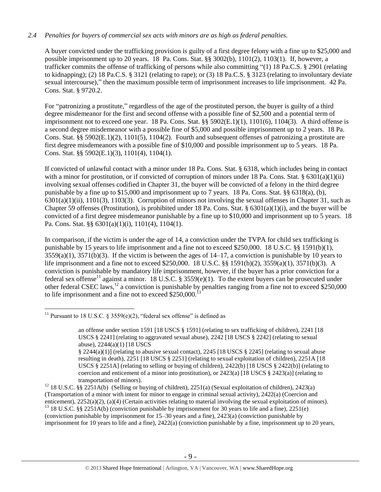## *2.4 Penalties for buyers of commercial sex acts with minors are as high as federal penalties.*

A buyer convicted under the trafficking provision is guilty of a first degree felony with a fine up to \$25,000 and possible imprisonment up to 20 years. 18 Pa. Cons. Stat. §§ 3002(b), 1101(2), 1103(1). If, however, a trafficker commits the offense of trafficking of persons while also committing "(1) 18 Pa.C.S. § 2901 (relating to kidnapping); (2) 18 Pa.C.S. § 3121 (relating to rape); or (3) 18 Pa.C.S. § 3123 (relating to involuntary deviate sexual intercourse)," then the maximum possible term of imprisonment increases to life imprisonment. 42 Pa. Cons. Stat. § 9720.2.

For "patronizing a prostitute," regardless of the age of the prostituted person, the buyer is guilty of a third degree misdemeanor for the first and second offense with a possible fine of \$2,500 and a potential term of imprisonment not to exceed one year. 18 Pa. Cons. Stat. §§ 5902(E.1)(1), 1101(6), 1104(3). A third offense is a second degree misdemeanor with a possible fine of \$5,000 and possible imprisonment up to 2 years. 18 Pa. Cons. Stat. §§ 5902(E.1)(2), 1101(5), 1104(2). Fourth and subsequent offenses of patronizing a prostitute are first degree misdemeanors with a possible fine of \$10,000 and possible imprisonment up to 5 years. 18 Pa. Cons. Stat. §§ 5902(E.1)(3), 1101(4), 1104(1).

If convicted of unlawful contact with a minor under 18 Pa. Cons. Stat. § 6318, which includes being in contact with a minor for prostitution, or if convicted of corruption of minors under 18 Pa. Cons. Stat. § 6301(a)(1)(ii) involving sexual offenses codified in Chapter 31, the buyer will be convicted of a felony in the third degree punishable by a fine up to \$15,000 and imprisonment up to 7 years. 18 Pa. Cons. Stat. §§ 6318(a), (b),  $6301(a)(1)(ii)$ ,  $1101(3)$ ,  $1103(3)$ . Corruption of minors not involving the sexual offenses in Chapter 31, such as Chapter 59 offenses (Prostitution), is prohibited under 18 Pa. Cons. Stat. § 6301(a)(1)(i), and the buyer will be convicted of a first degree misdemeanor punishable by a fine up to \$10,000 and imprisonment up to 5 years. 18 Pa. Cons. Stat. §§ 6301(a)(1)(i), 1101(4), 1104(1).

In comparison, if the victim is under the age of 14, a conviction under the TVPA for child sex trafficking is punishable by 15 years to life imprisonment and a fine not to exceed \$250,000. 18 U.S.C. §§ 1591(b)(1),  $3559(a)(1)$ ,  $3571(b)(3)$ . If the victim is between the ages of  $14-17$ , a conviction is punishable by 10 years to life imprisonment and a fine not to exceed \$250,000. 18 U.S.C. §§ 1591(b)(2), 3559(a)(1), 3571(b)(3). A conviction is punishable by mandatory life imprisonment, however, if the buyer has a prior conviction for a federal sex offense<sup>11</sup> against a minor. 18 U.S.C. § 3559(e)(1). To the extent buyers can be prosecuted under other federal CSEC laws,  $^{12}$  a conviction is punishable by penalties ranging from a fine not to exceed \$250,000 to life imprisonment and a fine not to exceed \$250,000.<sup>13</sup>

 $\overline{a}$ <sup>11</sup> Pursuant to 18 U.S.C. § 3559(e)(2), "federal sex offense" is defined as

<sup>13</sup> 18 U.S.C. §§ 2251A(b) (conviction punishable by imprisonment for 30 years to life and a fine), 2251(e) (conviction punishable by imprisonment for 15–30 years and a fine), 2423(a) (conviction punishable by imprisonment for 10 years to life and a fine), 2422(a) (conviction punishable by a fine, imprisonment up to 20 years,

<span id="page-8-0"></span>an offense under section 1591 [18 USCS § 1591] (relating to sex trafficking of children), 2241 [18 USCS § 2241] (relating to aggravated sexual abuse), 2242 [18 USCS § 2242] (relating to sexual abuse), 2244(a)(1) [18 USCS

<sup>§ 2244(</sup>a)(1)] (relating to abusive sexual contact), 2245 [18 USCS § 2245] (relating to sexual abuse resulting in death), 2251 [18 USCS § 2251] (relating to sexual exploitation of children), 2251A [18 USCS  $\S 2251$ A] (relating to selling or buying of children), 2422(b) [18 USCS  $\S 2422$ (b)] (relating to coercion and enticement of a minor into prostitution), or  $2423(a)$  [18 USCS §  $2423(a)$ ] (relating to transportation of minors).

<sup>&</sup>lt;sup>12</sup> 18 U.S.C. §§ 2251A(b) (Selling or buying of children), 2251(a) (Sexual exploitation of children), 2423(a) (Transportation of a minor with intent for minor to engage in criminal sexual activity), 2422(a) (Coercion and enticement), 2252(a)(2), (a)(4) (Certain activities relating to material involving the sexual exploitation of minors).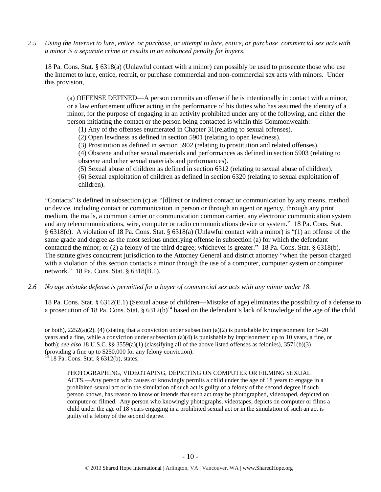*2.5 Using the Internet to lure, entice, or purchase, or attempt to lure, entice, or purchase commercial sex acts with a minor is a separate crime or results in an enhanced penalty for buyers.*

18 Pa. Cons. Stat. § 6318(a) (Unlawful contact with a minor) can possibly be used to prosecute those who use the Internet to lure, entice, recruit, or purchase commercial and non-commercial sex acts with minors. Under this provision,

(a) OFFENSE DEFINED—A person commits an offense if he is intentionally in contact with a minor, or a law enforcement officer acting in the performance of his duties who has assumed the identity of a minor, for the purpose of engaging in an activity prohibited under any of the following, and either the person initiating the contact or the person being contacted is within this Commonwealth:

(1) Any of the offenses enumerated in Chapter 31(relating to sexual offenses).

(2) Open lewdness as defined in section 5901 (relating to open lewdness).

(3) Prostitution as defined in section 5902 (relating to prostitution and related offenses).

(4) Obscene and other sexual materials and performances as defined in section 5903 (relating to obscene and other sexual materials and performances).

(5) Sexual abuse of children as defined in section 6312 (relating to sexual abuse of children).

(6) Sexual exploitation of children as defined in section 6320 (relating to sexual exploitation of children).

"Contacts" is defined in subsection (c) as "[d]irect or indirect contact or communication by any means, method or device, including contact or communication in person or through an agent or agency, through any print medium, the mails, a common carrier or communication common carrier, any electronic communication system and any telecommunications, wire, computer or radio communications device or system." 18 Pa. Cons. Stat. § 6318(c). A violation of 18 Pa. Cons. Stat. § 6318(a) (Unlawful contact with a minor) is "(1) an offense of the same grade and degree as the most serious underlying offense in subsection (a) for which the defendant contacted the minor; or (2) a felony of the third degree; whichever is greater." 18 Pa. Cons. Stat. § 6318(b). The statute gives concurrent jurisdiction to the Attorney General and district attorney "when the person charged with a violation of this section contacts a minor through the use of a computer, computer system or computer network." 18 Pa. Cons. Stat. § 6318(B.1).

*2.6 No age mistake defense is permitted for a buyer of commercial sex acts with any minor under 18.*

18 Pa. Cons. Stat. § 6312(E.1) (Sexual abuse of children—Mistake of age) eliminates the possibility of a defense to a prosecution of 18 Pa. Cons. Stat. §  $6312(b)^{14}$  based on the defendant's lack of knowledge of the age of the child

or both),  $2252(a)(2)$ , (4) (stating that a conviction under subsection (a)(2) is punishable by imprisonment for 5–20 years and a fine, while a conviction under subsection (a)(4) is punishable by imprisonment up to 10 years, a fine, or both); *see also* 18 U.S.C. §§ 3559(a)(1) (classifying all of the above listed offenses as felonies), 3571(b)(3) (providing a fine up to \$250,000 for any felony conviction).

<sup>14</sup> 18 Pa. Cons. Stat. § 6312(b), states,

 $\overline{a}$ 

## PHOTOGRAPHING, VIDEOTAPING, DEPICTING ON COMPUTER OR FILMING SEXUAL

ACTS.—Any person who causes or knowingly permits a child under the age of 18 years to engage in a prohibited sexual act or in the simulation of such act is guilty of a felony of the second degree if such person knows, has reason to know or intends that such act may be photographed, videotaped, depicted on computer or filmed. Any person who knowingly photographs, videotapes, depicts on computer or films a child under the age of 18 years engaging in a prohibited sexual act or in the simulation of such an act is guilty of a felony of the second degree.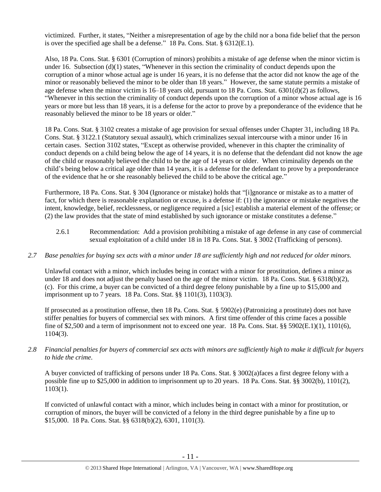victimized. Further, it states, "Neither a misrepresentation of age by the child nor a bona fide belief that the person is over the specified age shall be a defense." 18 Pa. Cons. Stat. § 6312(E.1).

Also, 18 Pa. Cons. Stat. § 6301 (Corruption of minors) prohibits a mistake of age defense when the minor victim is under 16. Subsection  $(d)(1)$  states, "Whenever in this section the criminality of conduct depends upon the corruption of a minor whose actual age is under 16 years, it is no defense that the actor did not know the age of the minor or reasonably believed the minor to be older than 18 years." However, the same statute permits a mistake of age defense when the minor victim is 16–18 years old, pursuant to 18 Pa. Cons. Stat. 6301(d)(2) as follows, "Whenever in this section the criminality of conduct depends upon the corruption of a minor whose actual age is 16 years or more but less than 18 years, it is a defense for the actor to prove by a preponderance of the evidence that he reasonably believed the minor to be 18 years or older."

18 Pa. Cons. Stat. § 3102 creates a mistake of age provision for sexual offenses under Chapter 31, including 18 Pa. Cons. Stat. § 3122.1 (Statutory sexual assault), which criminalizes sexual intercourse with a minor under 16 in certain cases. Section 3102 states, "Except as otherwise provided, whenever in this chapter the criminality of conduct depends on a child being below the age of 14 years, it is no defense that the defendant did not know the age of the child or reasonably believed the child to be the age of 14 years or older. When criminality depends on the child's being below a critical age older than 14 years, it is a defense for the defendant to prove by a preponderance of the evidence that he or she reasonably believed the child to be above the critical age."

Furthermore, 18 Pa. Cons. Stat. § 304 (Ignorance or mistake) holds that "[i]gnorance or mistake as to a matter of fact, for which there is reasonable explanation or excuse, is a defense if: (1) the ignorance or mistake negatives the intent, knowledge, belief, recklessness, or negligence required a [sic] establish a material element of the offense; or (2) the law provides that the state of mind established by such ignorance or mistake constitutes a defense."

- 2.6.1 Recommendation: Add a provision prohibiting a mistake of age defense in any case of commercial sexual exploitation of a child under 18 in 18 Pa. Cons. Stat. § 3002 (Trafficking of persons).
- *2.7 Base penalties for buying sex acts with a minor under 18 are sufficiently high and not reduced for older minors.*

Unlawful contact with a minor, which includes being in contact with a minor for prostitution, defines a minor as under 18 and does not adjust the penalty based on the age of the minor victim. 18 Pa. Cons. Stat. § 6318(b)(2), (c). For this crime, a buyer can be convicted of a third degree felony punishable by a fine up to \$15,000 and imprisonment up to 7 years. 18 Pa. Cons. Stat. §§ 1101(3), 1103(3).

If prosecuted as a prostitution offense, then 18 Pa. Cons. Stat. § 5902(e) (Patronizing a prostitute) does not have stiffer penalties for buyers of commercial sex with minors. A first time offender of this crime faces a possible fine of \$2,500 and a term of imprisonment not to exceed one year. 18 Pa. Cons. Stat. §§ 5902(E.1)(1), 1101(6), 1104(3).

*2.8 Financial penalties for buyers of commercial sex acts with minors are sufficiently high to make it difficult for buyers to hide the crime.*

A buyer convicted of trafficking of persons under 18 Pa. Cons. Stat. § 3002(a)faces a first degree felony with a possible fine up to \$25,000 in addition to imprisonment up to 20 years. 18 Pa. Cons. Stat. §§ 3002(b), 1101(2), 1103(1).

If convicted of unlawful contact with a minor, which includes being in contact with a minor for prostitution, or corruption of minors, the buyer will be convicted of a felony in the third degree punishable by a fine up to \$15,000. 18 Pa. Cons. Stat. §§ 6318(b)(2), 6301, 1101(3).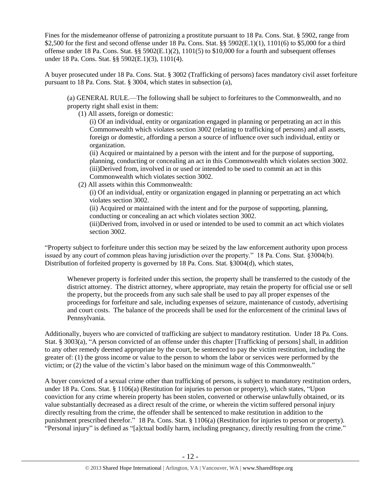Fines for the misdemeanor offense of patronizing a prostitute pursuant to 18 Pa. Cons. Stat. § 5902, range from \$2,500 for the first and second offense under 18 Pa. Cons. Stat. §§ 5902(E.1)(1), 1101(6) to \$5,000 for a third offense under 18 Pa. Cons. Stat. §§ 5902(E.1)(2), 1101(5) to \$10,000 for a fourth and subsequent offenses under 18 Pa. Cons. Stat. §§ 5902(E.1)(3), 1101(4).

A buyer prosecuted under 18 Pa. Cons. Stat. § 3002 (Trafficking of persons) faces mandatory civil asset forfeiture pursuant to 18 Pa. Cons. Stat. § 3004, which states in subsection (a),

(a) GENERAL RULE.—The following shall be subject to forfeitures to the Commonwealth, and no property right shall exist in them:

(1) All assets, foreign or domestic:

(i) Of an individual, entity or organization engaged in planning or perpetrating an act in this Commonwealth which violates section 3002 (relating to trafficking of persons) and all assets, foreign or domestic, affording a person a source of influence over such individual, entity or organization.

(ii) Acquired or maintained by a person with the intent and for the purpose of supporting, planning, conducting or concealing an act in this Commonwealth which violates section 3002. (iii)Derived from, involved in or used or intended to be used to commit an act in this Commonwealth which violates section 3002.

(2) All assets within this Commonwealth:

(i) Of an individual, entity or organization engaged in planning or perpetrating an act which violates section 3002.

(ii) Acquired or maintained with the intent and for the purpose of supporting, planning, conducting or concealing an act which violates section 3002.

(iii)Derived from, involved in or used or intended to be used to commit an act which violates section 3002.

"Property subject to forfeiture under this section may be seized by the law enforcement authority upon process issued by any court of common pleas having jurisdiction over the property." 18 Pa. Cons. Stat. §3004(b). Distribution of forfeited property is governed by 18 Pa. Cons. Stat. §3004(d), which states,

Whenever property is forfeited under this section, the property shall be transferred to the custody of the district attorney. The district attorney, where appropriate, may retain the property for official use or sell the property, but the proceeds from any such sale shall be used to pay all proper expenses of the proceedings for forfeiture and sale, including expenses of seizure, maintenance of custody, advertising and court costs. The balance of the proceeds shall be used for the enforcement of the criminal laws of Pennsylvania.

Additionally, buyers who are convicted of trafficking are subject to mandatory restitution. Under 18 Pa. Cons. Stat. § 3003(a), "A person convicted of an offense under this chapter [Trafficking of persons] shall, in addition to any other remedy deemed appropriate by the court, be sentenced to pay the victim restitution, including the greater of: (1) the gross income or value to the person to whom the labor or services were performed by the victim; or (2) the value of the victim's labor based on the minimum wage of this Commonwealth."

A buyer convicted of a sexual crime other than trafficking of persons, is subject to mandatory restitution orders, under 18 Pa. Cons. Stat. § 1106(a) (Restitution for injuries to person or property), which states, "Upon conviction for any crime wherein property has been stolen, converted or otherwise unlawfully obtained, or its value substantially decreased as a direct result of the crime, or wherein the victim suffered personal injury directly resulting from the crime, the offender shall be sentenced to make restitution in addition to the punishment prescribed therefor." 18 Pa. Cons. Stat. § 1106(a) (Restitution for injuries to person or property). "Personal injury" is defined as "[a]ctual bodily harm, including pregnancy, directly resulting from the crime."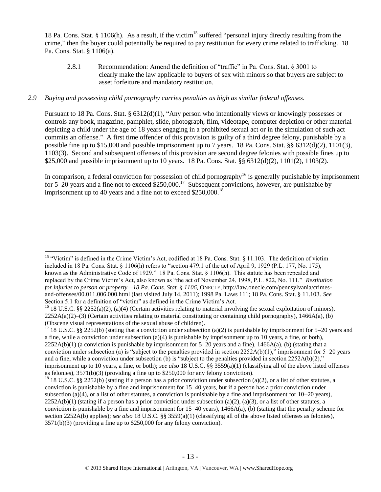18 Pa. Cons. Stat. § 1106(h). As a result, if the victim<sup>15</sup> suffered "personal injury directly resulting from the crime," then the buyer could potentially be required to pay restitution for every crime related to trafficking. 18 Pa. Cons. Stat. § 1106(a).

2.8.1 Recommendation: Amend the definition of "traffic" in Pa. Cons. Stat. § 3001 to clearly make the law applicable to buyers of sex with minors so that buyers are subject to asset forfeiture and mandatory restitution.

## *2.9 Buying and possessing child pornography carries penalties as high as similar federal offenses.*

Pursuant to 18 Pa. Cons. Stat. § 6312(d)(1), "Any person who intentionally views or knowingly possesses or controls any book, magazine, pamphlet, slide, photograph, film, videotape, computer depiction or other material depicting a child under the age of 18 years engaging in a prohibited sexual act or in the simulation of such act commits an offense." A first time offender of this provision is guilty of a third degree felony, punishable by a possible fine up to \$15,000 and possible imprisonment up to 7 years. 18 Pa. Cons. Stat. §§ 6312(d)(2), 1101(3), 1103(3). Second and subsequent offenses of this provision are second degree felonies with possible fines up to \$25,000 and possible imprisonment up to 10 years. 18 Pa. Cons. Stat. §§ 6312(d)(2), 1101(2), 1103(2).

In comparison, a federal conviction for possession of child pornography<sup>16</sup> is generally punishable by imprisonment for 5–20 years and a fine not to exceed  $$250,000$ .<sup>17</sup> Subsequent convictions, however, are punishable by imprisonment up to 40 years and a fine not to exceed  $$250,000$ .<sup>18</sup>

<sup>&</sup>lt;sup>15</sup> "Victim" is defined in the Crime Victim's Act, codified at 18 Pa. Cons. Stat. § 11.103. The definition of victim included in 18 Pa. Cons. Stat. § 1106(h) refers to "section 479.1 of the act of April 9, 1929 (P.L. 177, No. 175), known as the Administrative Code of 1929." 18 Pa. Cons. Stat. § 1106(h). This statute has been repealed and replaced by the Crime Victim's Act, also known as "the act of November 24, 1998, P.L. 822, No. 111." *Restitution for injuries to person or property—18 Pa. Cons. Stat. § 1106*, ONECLE, http://law.onecle.com/pennsylvania/crimesand-offenses/00.011.006.000.html (last visited July 14, 2011); 1998 Pa. Laws 111; 18 Pa. Cons. Stat. § 11.103. *See* Section 5.1 for a definition of "victim" as defined in the Crime Victim's Act.

<sup>&</sup>lt;sup>16</sup> 18 U.S.C. §§ 2252(a)(2), (a)(4) (Certain activities relating to material involving the sexual exploitation of minors),  $2252A(a)(2)$ –(3) (Certain activities relating to material constituting or containing child pornography), 1466A(a), (b) (Obscene visual representations of the sexual abuse of children).

<sup>&</sup>lt;sup>17</sup> 18 U.S.C. §§ 2252(b) (stating that a conviction under subsection (a)(2) is punishable by imprisonment for 5–20 years and a fine, while a conviction under subsection  $(a)(4)$  is punishable by imprisonment up to 10 years, a fine, or both),  $2252A(b)(1)$  (a conviction is punishable by imprisonment for  $5-20$  years and a fine),  $1466A(a)$ , (b) (stating that a conviction under subsection (a) is "subject to the penalties provided in section  $2252A(b)(1)$ ," imprisonment for  $5-20$  years and a fine, while a conviction under subsection (b) is "subject to the penalties provided in section  $2252A(b)(2)$ ," imprisonment up to 10 years, a fine, or both); *see also* 18 U.S.C. §§ 3559(a)(1) (classifying all of the above listed offenses as felonies), 3571(b)(3) (providing a fine up to \$250,000 for any felony conviction).

<sup>&</sup>lt;sup>18</sup> 18 U.S.C. §§ 2252(b) (stating if a person has a prior conviction under subsection (a)(2), or a list of other statutes, a conviction is punishable by a fine and imprisonment for 15–40 years, but if a person has a prior conviction under subsection (a)(4), or a list of other statutes, a conviction is punishable by a fine and imprisonment for  $10-20$  years),  $2252A(b)(1)$  (stating if a person has a prior conviction under subsection (a)(2), (a)(3), or a list of other statutes, a conviction is punishable by a fine and imprisonment for  $15-40$  years),  $1466A(a)$ , (b) (stating that the penalty scheme for section 2252A(b) applies); *see also* 18 U.S.C. §§ 3559(a)(1) (classifying all of the above listed offenses as felonies), 3571(b)(3) (providing a fine up to \$250,000 for any felony conviction).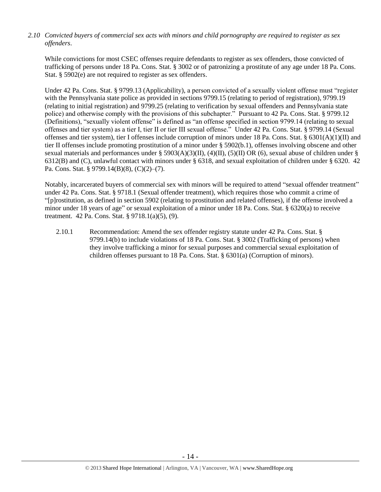*2.10 Convicted buyers of commercial sex acts with minors and child pornography are required to register as sex offenders*.

While convictions for most CSEC offenses require defendants to register as sex offenders, those convicted of trafficking of persons under 18 Pa. Cons. Stat. § 3002 or of patronizing a prostitute of any age under 18 Pa. Cons. Stat. § 5902(e) are not required to register as sex offenders.

Under 42 Pa. Cons. Stat. § 9799.13 (Applicability), a person convicted of a sexually violent offense must "register with the Pennsylvania state police as provided in sections 9799.15 (relating to period of registration), 9799.19 (relating to initial registration) and 9799.25 (relating to verification by sexual offenders and Pennsylvania state police) and otherwise comply with the provisions of this subchapter." Pursuant to 42 Pa. Cons. Stat. § 9799.12 (Definitions), "sexually violent offense" is defined as "an offense specified in section 9799.14 (relating to sexual offenses and tier system) as a tier I, tier II or tier III sexual offense." Under 42 Pa. Cons. Stat. § 9799.14 (Sexual offenses and tier system), tier I offenses include corruption of minors under 18 Pa. Cons. Stat. § 6301(A)(1)(II) and tier II offenses include promoting prostitution of a minor under § 5902(b.1), offenses involving obscene and other sexual materials and performances under § 5903(A)(3)(II), (4)(II), (5)(II) OR (6), sexual abuse of children under § 6312(B) and (C), unlawful contact with minors under § 6318, and sexual exploitation of children under § 6320. 42 Pa. Cons. Stat. § 9799.14(B)(8), (C)(2)–(7).

Notably, incarcerated buyers of commercial sex with minors will be required to attend "sexual offender treatment" under 42 Pa. Cons. Stat. § 9718.1 (Sexual offender treatment), which requires those who commit a crime of "[p]rostitution, as defined in section 5902 (relating to prostitution and related offenses), if the offense involved a minor under 18 years of age" or sexual exploitation of a minor under 18 Pa. Cons. Stat. § 6320(a) to receive treatment. 42 Pa. Cons. Stat. § 9718.1(a)(5), (9).

2.10.1 Recommendation: Amend the sex offender registry statute under 42 Pa. Cons. Stat. § 9799.14(b) to include violations of 18 Pa. Cons. Stat. § 3002 (Trafficking of persons) when they involve trafficking a minor for sexual purposes and commercial sexual exploitation of children offenses pursuant to 18 Pa. Cons. Stat. § 6301(a) (Corruption of minors).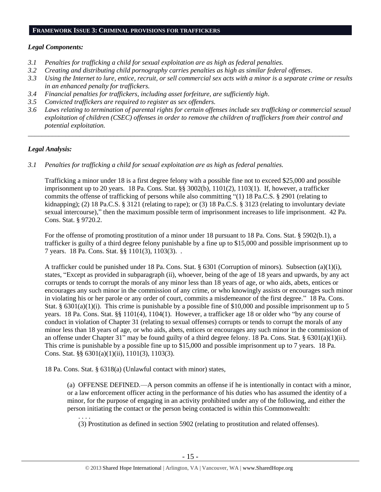#### **FRAMEWORK ISSUE 3: CRIMINAL PROVISIONS FOR TRAFFICKERS**

#### *Legal Components:*

- *3.1 Penalties for trafficking a child for sexual exploitation are as high as federal penalties.*
- *3.2 Creating and distributing child pornography carries penalties as high as similar federal offenses*.
- *3.3 Using the Internet to lure, entice, recruit, or sell commercial sex acts with a minor is a separate crime or results in an enhanced penalty for traffickers.*
- *3.4 Financial penalties for traffickers, including asset forfeiture, are sufficiently high*.
- *3.5 Convicted traffickers are required to register as sex offenders.*
- *3.6 Laws relating to termination of parental rights for certain offenses include sex trafficking or commercial sexual exploitation of children (CSEC) offenses in order to remove the children of traffickers from their control and potential exploitation.*

*\_\_\_\_\_\_\_\_\_\_\_\_\_\_\_\_\_\_\_\_\_\_\_\_\_\_\_\_\_\_\_\_\_\_\_\_\_\_\_\_\_\_\_\_\_\_\_\_\_\_\_\_\_\_\_\_\_\_\_\_\_\_\_\_\_\_\_\_\_\_\_\_\_\_\_\_\_\_\_\_\_\_\_\_\_\_\_\_\_\_\_\_\_\_*

## *Legal Analysis:*

*3.1 Penalties for trafficking a child for sexual exploitation are as high as federal penalties.*

Trafficking a minor under 18 is a first degree felony with a possible fine not to exceed \$25,000 and possible imprisonment up to 20 years. 18 Pa. Cons. Stat. §§ 3002(b), 1101(2), 1103(1). If, however, a trafficker commits the offense of trafficking of persons while also committing "(1) 18 Pa.C.S. § 2901 (relating to kidnapping); (2) 18 Pa.C.S. § 3121 (relating to rape); or (3) 18 Pa.C.S. § 3123 (relating to involuntary deviate sexual intercourse)," then the maximum possible term of imprisonment increases to life imprisonment. 42 Pa. Cons. Stat. § 9720.2.

For the offense of promoting prostitution of a minor under 18 pursuant to 18 Pa. Cons. Stat. § 5902(b.1), a trafficker is guilty of a third degree felony punishable by a fine up to \$15,000 and possible imprisonment up to 7 years. 18 Pa. Cons. Stat. §§ 1101(3), 1103(3). .

A trafficker could be punished under 18 Pa. Cons. Stat. § 6301 (Corruption of minors). Subsection (a)(1)(i), states, "Except as provided in subparagraph (ii), whoever, being of the age of 18 years and upwards, by any act corrupts or tends to corrupt the morals of any minor less than 18 years of age, or who aids, abets, entices or encourages any such minor in the commission of any crime, or who knowingly assists or encourages such minor in violating his or her parole or any order of court, commits a misdemeanor of the first degree." 18 Pa. Cons. Stat. §  $6301(a)(1)(i)$ . This crime is punishable by a possible fine of \$10,000 and possible imprisonment up to 5 years. 18 Pa. Cons. Stat. §§ 1101(4), 1104(1). However, a trafficker age 18 or older who "by any course of conduct in violation of Chapter 31 (relating to sexual offenses) corrupts or tends to corrupt the morals of any minor less than 18 years of age, or who aids, abets, entices or encourages any such minor in the commission of an offense under Chapter 31" may be found guilty of a third degree felony. 18 Pa. Cons. Stat. §  $6301(a)(1)(ii)$ . This crime is punishable by a possible fine up to \$15,000 and possible imprisonment up to 7 years. 18 Pa. Cons. Stat. §§ 6301(a)(1)(ii), 1101(3), 1103(3).

18 Pa. Cons. Stat. § 6318(a) (Unlawful contact with minor) states,

(a) OFFENSE DEFINED.—A person commits an offense if he is intentionally in contact with a minor, or a law enforcement officer acting in the performance of his duties who has assumed the identity of a minor, for the purpose of engaging in an activity prohibited under any of the following, and either the person initiating the contact or the person being contacted is within this Commonwealth:

. . . .

(3) Prostitution as defined in section 5902 (relating to prostitution and related offenses).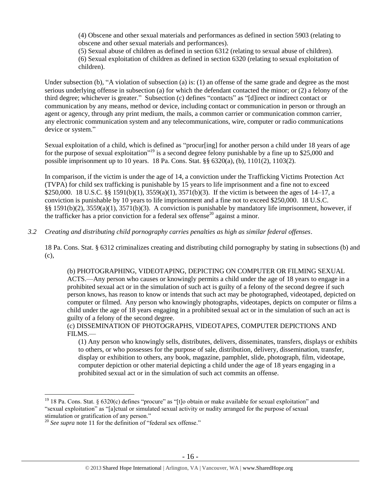(4) Obscene and other sexual materials and performances as defined in section 5903 (relating to obscene and other sexual materials and performances).

(5) Sexual abuse of children as defined in section 6312 (relating to sexual abuse of children). (6) Sexual exploitation of children as defined in section 6320 (relating to sexual exploitation of children).

Under subsection (b), "A violation of subsection (a) is: (1) an offense of the same grade and degree as the most serious underlying offense in subsection (a) for which the defendant contacted the minor; or (2) a felony of the third degree; whichever is greater." Subsection (c) defines "contacts" as "[d]irect or indirect contact or communication by any means, method or device, including contact or communication in person or through an agent or agency, through any print medium, the mails, a common carrier or communication common carrier, any electronic communication system and any telecommunications, wire, computer or radio communications device or system."

Sexual exploitation of a child, which is defined as "procur[ing] for another person a child under 18 years of age for the purpose of sexual exploitation"<sup>19</sup> is a second degree felony punishable by a fine up to \$25,000 and possible imprisonment up to 10 years. 18 Pa. Cons. Stat. §§ 6320(a), (b), 1101(2), 1103(2).

In comparison, if the victim is under the age of 14, a conviction under the Trafficking Victims Protection Act (TVPA) for child sex trafficking is punishable by 15 years to life imprisonment and a fine not to exceed \$250,000. 18 U.S.C. §§ 1591(b)(1), 3559(a)(1), 3571(b)(3). If the victim is between the ages of 14–17, a conviction is punishable by 10 years to life imprisonment and a fine not to exceed \$250,000. 18 U.S.C. §§ 1591(b)(2), 3559(a)(1), 3571(b)(3). A conviction is punishable by mandatory life imprisonment, however, if the trafficker has a prior conviction for a federal sex offense<sup>20</sup> against a minor.

*3.2 Creating and distributing child pornography carries penalties as high as similar federal offenses*.

18 Pa. Cons. Stat. § 6312 criminalizes creating and distributing child pornography by stating in subsections (b) and (c),

(b) PHOTOGRAPHING, VIDEOTAPING, DEPICTING ON COMPUTER OR FILMING SEXUAL ACTS.—Any person who causes or knowingly permits a child under the age of 18 years to engage in a prohibited sexual act or in the simulation of such act is guilty of a felony of the second degree if such person knows, has reason to know or intends that such act may be photographed, videotaped, depicted on computer or filmed. Any person who knowingly photographs, videotapes, depicts on computer or films a child under the age of 18 years engaging in a prohibited sexual act or in the simulation of such an act is guilty of a felony of the second degree.

(c) DISSEMINATION OF PHOTOGRAPHS, VIDEOTAPES, COMPUTER DEPICTIONS AND FILMS.—

(1) Any person who knowingly sells, distributes, delivers, disseminates, transfers, displays or exhibits to others, or who possesses for the purpose of sale, distribution, delivery, dissemination, transfer, display or exhibition to others, any book, magazine, pamphlet, slide, photograph, film, videotape, computer depiction or other material depicting a child under the age of 18 years engaging in a prohibited sexual act or in the simulation of such act commits an offense.

<sup>&</sup>lt;sup>19</sup> 18 Pa. Cons. Stat. § 6320(c) defines "procure" as "[t]o obtain or make available for sexual exploitation" and "sexual exploitation" as "[a]ctual or simulated sexual activity or nudity arranged for the purpose of sexual stimulation or gratification of any person."

<sup>20</sup> *See supra* note [11](#page-8-0) for the definition of "federal sex offense."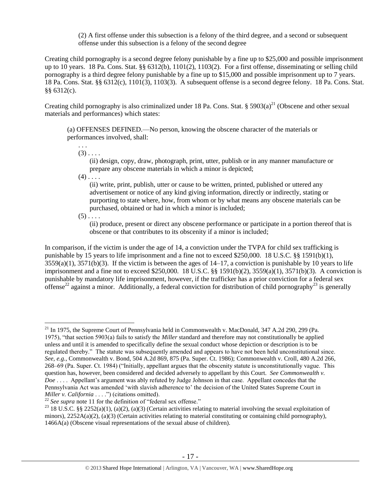(2) A first offense under this subsection is a felony of the third degree, and a second or subsequent offense under this subsection is a felony of the second degree

Creating child pornography is a second degree felony punishable by a fine up to \$25,000 and possible imprisonment up to 10 years. 18 Pa. Cons. Stat.  $\S$  6312(b), 1101(2), 1103(2). For a first offense, disseminating or selling child pornography is a third degree felony punishable by a fine up to \$15,000 and possible imprisonment up to 7 years. 18 Pa. Cons. Stat. §§ 6312(c), 1101(3), 1103(3). A subsequent offense is a second degree felony. 18 Pa. Cons. Stat. §§ 6312(c).

Creating child pornography is also criminalized under 18 Pa. Cons. Stat.  $\S 5903(a)^{21}$  (Obscene and other sexual materials and performances) which states:

(a) OFFENSES DEFINED.—No person, knowing the obscene character of the materials or performances involved, shall:

. . .  $(3)$ ....

> <span id="page-16-0"></span>(ii) design, copy, draw, photograph, print, utter, publish or in any manner manufacture or prepare any obscene materials in which a minor is depicted;

 $(4)$ ...

(ii) write, print, publish, utter or cause to be written, printed, published or uttered any advertisement or notice of any kind giving information, directly or indirectly, stating or purporting to state where, how, from whom or by what means any obscene materials can be purchased, obtained or had in which a minor is included;

 $(5)$  . . . .

 $\overline{a}$ 

(ii) produce, present or direct any obscene performance or participate in a portion thereof that is obscene or that contributes to its obscenity if a minor is included;

In comparison, if the victim is under the age of 14, a conviction under the TVPA for child sex trafficking is punishable by 15 years to life imprisonment and a fine not to exceed \$250,000. 18 U.S.C. §§ 1591(b)(1),  $3559(a)(1)$ ,  $3571(b)(3)$ . If the victim is between the ages of  $14-17$ , a conviction is punishable by 10 years to life imprisonment and a fine not to exceed \$250,000. 18 U.S.C. §§ 1591(b)(2), 3559(a)(1), 3571(b)(3). A conviction is punishable by mandatory life imprisonment, however, if the trafficker has a prior conviction for a federal sex offense<sup>22</sup> against a minor. Additionally, a federal conviction for distribution of child pornography<sup>23</sup> is generally

<sup>&</sup>lt;sup>21</sup> In 1975, the Supreme Court of Pennsylvania held in Commonwealth v. MacDonald, 347 A.2d 290, 299 (Pa. 1975), "that section 5903(a) fails to satisfy the *Miller* standard and therefore may not constitutionally be applied unless and until it is amended to specifically define the sexual conduct whose depiction or description is to be regulated thereby." The statute was subsequently amended and appears to have not been held unconstitutional since. *See, e.g.*, Commonwealth v. Bond, 504 A.2d 869, 875 (Pa. Super. Ct. 1986); Commonwealth v. Croll, 480 A.2d 266, 268–69 (Pa. Super. Ct. 1984) ("Initially, appellant argues that the obscenity statute is unconstitutionally vague. This question has, however, been considered and decided adversely to appellant by this Court. *See Commonwealth v. Doe* . . . . Appellant's argument was ably refuted by Judge Johnson in that case. Appellant concedes that the Pennsylvania Act was amended 'with slavish adherence to' the decision of the United States Supreme Court in *Miller v. California* . . . .") (citations omitted).

<sup>&</sup>lt;sup>22</sup> See supra note [11](#page-8-0) for the definition of "federal sex offense."

<sup>&</sup>lt;sup>23</sup> 18 U.S.C. §§ 2252(a)(1), (a)(2), (a)(3) (Certain activities relating to material involving the sexual exploitation of minors),  $2252A(a)(2)$ ,  $(a)(3)$  (Certain activities relating to material constituting or containing child pornography), 1466A(a) (Obscene visual representations of the sexual abuse of children).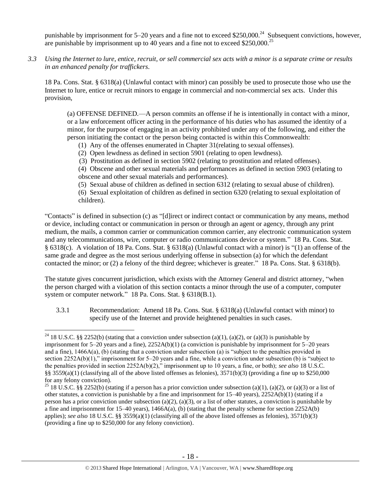punishable by imprisonment for  $5-20$  years and a fine not to exceed \$250,000.<sup>24</sup> Subsequent convictions, however, are punishable by imprisonment up to 40 years and a fine not to exceed  $$250,000.<sup>25</sup>$ 

*3.3 Using the Internet to lure, entice, recruit, or sell commercial sex acts with a minor is a separate crime or results in an enhanced penalty for traffickers.*

18 Pa. Cons. Stat. § 6318(a) (Unlawful contact with minor) can possibly be used to prosecute those who use the Internet to lure, entice or recruit minors to engage in commercial and non-commercial sex acts. Under this provision,

(a) OFFENSE DEFINED.—A person commits an offense if he is intentionally in contact with a minor, or a law enforcement officer acting in the performance of his duties who has assumed the identity of a minor, for the purpose of engaging in an activity prohibited under any of the following, and either the person initiating the contact or the person being contacted is within this Commonwealth:

(1) Any of the offenses enumerated in Chapter 31(relating to sexual offenses).

(2) Open lewdness as defined in section 5901 (relating to open lewdness).

(3) Prostitution as defined in section 5902 (relating to prostitution and related offenses).

(4) Obscene and other sexual materials and performances as defined in section 5903 (relating to obscene and other sexual materials and performances).

(5) Sexual abuse of children as defined in section 6312 (relating to sexual abuse of children).

(6) Sexual exploitation of children as defined in section 6320 (relating to sexual exploitation of children).

"Contacts" is defined in subsection (c) as "[d]irect or indirect contact or communication by any means, method or device, including contact or communication in person or through an agent or agency, through any print medium, the mails, a common carrier or communication common carrier, any electronic communication system and any telecommunications, wire, computer or radio communications device or system." 18 Pa. Cons. Stat. § 6318(c). A violation of 18 Pa. Cons. Stat. § 6318(a) (Unlawful contact with a minor) is "(1) an offense of the same grade and degree as the most serious underlying offense in subsection (a) for which the defendant contacted the minor; or (2) a felony of the third degree; whichever is greater." 18 Pa. Cons. Stat. § 6318(b).

The statute gives concurrent jurisdiction, which exists with the Attorney General and district attorney, "when the person charged with a violation of this section contacts a minor through the use of a computer, computer system or computer network." 18 Pa. Cons. Stat. § 6318(B.1).

3.3.1 Recommendation: Amend 18 Pa. Cons. Stat. § 6318(a) (Unlawful contact with minor) to specify use of the Internet and provide heightened penalties in such cases.

<sup>&</sup>lt;sup>24</sup> 18 U.S.C. §§ 2252(b) (stating that a conviction under subsection (a)(1), (a)(2), or (a)(3) is punishable by imprisonment for 5–20 years and a fine), 2252A(b)(1) (a conviction is punishable by imprisonment for 5–20 years and a fine), 1466A(a), (b) (stating that a conviction under subsection (a) is "subject to the penalties provided in section 2252A(b)(1)," imprisonment for 5–20 years and a fine, while a conviction under subsection (b) is "subject to the penalties provided in section 2252A(b)(2)," imprisonment up to 10 years, a fine, or both); *see also* 18 U.S.C. §§ 3559(a)(1) (classifying all of the above listed offenses as felonies),  $3571(b)(3)$  (providing a fine up to \$250,000 for any felony conviction).

<sup>&</sup>lt;sup>25</sup> 18 U.S.C. §§ 2252(b) (stating if a person has a prior conviction under subsection (a)(1), (a)(2), or (a)(3) or a list of other statutes, a conviction is punishable by a fine and imprisonment for  $15-40$  years),  $2252A(b)(1)$  (stating if a person has a prior conviction under subsection (a)(2), (a)(3), or a list of other statutes, a conviction is punishable by a fine and imprisonment for 15–40 years), 1466A(a), (b) (stating that the penalty scheme for section 2252A(b) applies); *see also* 18 U.S.C. §§ 3559(a)(1) (classifying all of the above listed offenses as felonies), 3571(b)(3) (providing a fine up to \$250,000 for any felony conviction).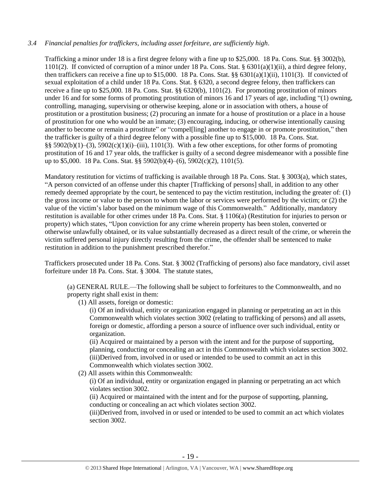## *3.4 Financial penalties for traffickers, including asset forfeiture, are sufficiently high*.

Trafficking a minor under 18 is a first degree felony with a fine up to \$25,000. 18 Pa. Cons. Stat. §§ 3002(b), 1101(2). If convicted of corruption of a minor under 18 Pa. Cons. Stat. §  $6301(a)(1)(ii)$ , a third degree felony, then traffickers can receive a fine up to \$15,000. 18 Pa. Cons. Stat. §§  $6301(a)(1)(ii)$ ,  $1101(3)$ . If convicted of sexual exploitation of a child under 18 Pa. Cons. Stat. § 6320, a second degree felony, then traffickers can receive a fine up to \$25,000. 18 Pa. Cons. Stat. §§ 6320(b), 1101(2). For promoting prostitution of minors under 16 and for some forms of promoting prostitution of minors 16 and 17 years of age, including "(1) owning, controlling, managing, supervising or otherwise keeping, alone or in association with others, a house of prostitution or a prostitution business; (2) procuring an inmate for a house of prostitution or a place in a house of prostitution for one who would be an inmate; (3) encouraging, inducing, or otherwise intentionally causing another to become or remain a prostitute" or "compelling] another to engage in or promote prostitution," then the trafficker is guilty of a third degree felony with a possible fine up to \$15,000. 18 Pa. Cons. Stat. §§ 5902(b)(1)–(3), 5902(c)(1)(i)–(iii), 1101(3). With a few other exceptions, for other forms of promoting prostitution of 16 and 17 year olds, the trafficker is guilty of a second degree misdemeanor with a possible fine up to \$5,000. 18 Pa. Cons. Stat. §§ 5902(b)(4)–(6), 5902(c)(2), 1101(5).

Mandatory restitution for victims of trafficking is available through 18 Pa. Cons. Stat. § 3003(a), which states, "A person convicted of an offense under this chapter [Trafficking of persons] shall, in addition to any other remedy deemed appropriate by the court, be sentenced to pay the victim restitution, including the greater of: (1) the gross income or value to the person to whom the labor or services were performed by the victim; or (2) the value of the victim's labor based on the minimum wage of this Commonwealth." Additionally, mandatory restitution is available for other crimes under 18 Pa. Cons. Stat. § 1106(a) (Restitution for injuries to person or property) which states, "Upon conviction for any crime wherein property has been stolen, converted or otherwise unlawfully obtained, or its value substantially decreased as a direct result of the crime, or wherein the victim suffered personal injury directly resulting from the crime, the offender shall be sentenced to make restitution in addition to the punishment prescribed therefor."

Traffickers prosecuted under 18 Pa. Cons. Stat. § 3002 (Trafficking of persons) also face mandatory, civil asset forfeiture under 18 Pa. Cons. Stat. § 3004. The statute states,

(a) GENERAL RULE.—The following shall be subject to forfeitures to the Commonwealth, and no property right shall exist in them:

(1) All assets, foreign or domestic:

(i) Of an individual, entity or organization engaged in planning or perpetrating an act in this Commonwealth which violates section 3002 (relating to trafficking of persons) and all assets, foreign or domestic, affording a person a source of influence over such individual, entity or organization.

(ii) Acquired or maintained by a person with the intent and for the purpose of supporting, planning, conducting or concealing an act in this Commonwealth which violates section 3002. (iii)Derived from, involved in or used or intended to be used to commit an act in this Commonwealth which violates section 3002.

(2) All assets within this Commonwealth:

(i) Of an individual, entity or organization engaged in planning or perpetrating an act which violates section 3002.

(ii) Acquired or maintained with the intent and for the purpose of supporting, planning, conducting or concealing an act which violates section 3002.

(iii)Derived from, involved in or used or intended to be used to commit an act which violates section 3002.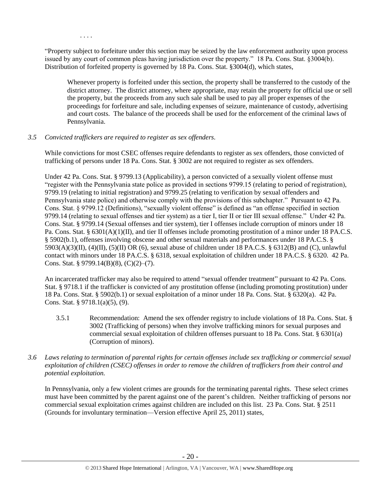. . . .

"Property subject to forfeiture under this section may be seized by the law enforcement authority upon process issued by any court of common pleas having jurisdiction over the property." 18 Pa. Cons. Stat. §3004(b). Distribution of forfeited property is governed by 18 Pa. Cons. Stat. §3004(d), which states,

Whenever property is forfeited under this section, the property shall be transferred to the custody of the district attorney. The district attorney, where appropriate, may retain the property for official use or sell the property, but the proceeds from any such sale shall be used to pay all proper expenses of the proceedings for forfeiture and sale, including expenses of seizure, maintenance of custody, advertising and court costs. The balance of the proceeds shall be used for the enforcement of the criminal laws of Pennsylvania.

## *3.5 Convicted traffickers are required to register as sex offenders.*

While convictions for most CSEC offenses require defendants to register as sex offenders, those convicted of trafficking of persons under 18 Pa. Cons. Stat. § 3002 are not required to register as sex offenders.

Under 42 Pa. Cons. Stat. § 9799.13 (Applicability), a person convicted of a sexually violent offense must "register with the Pennsylvania state police as provided in sections 9799.15 (relating to period of registration), 9799.19 (relating to initial registration) and 9799.25 (relating to verification by sexual offenders and Pennsylvania state police) and otherwise comply with the provisions of this subchapter." Pursuant to 42 Pa. Cons. Stat. § 9799.12 (Definitions), "sexually violent offense" is defined as "an offense specified in section 9799.14 (relating to sexual offenses and tier system) as a tier I, tier II or tier III sexual offense." Under 42 Pa. Cons. Stat. § 9799.14 (Sexual offenses and tier system), tier I offenses include corruption of minors under 18 Pa. Cons. Stat. § 6301(A)(1)(II), and tier II offenses include promoting prostitution of a minor under 18 PA.C.S. § 5902(b.1), offenses involving obscene and other sexual materials and performances under 18 PA.C.S. §  $5903(A)(3)(II)$ ,  $(4)(II)$ ,  $(5)(II)$  OR  $(6)$ , sexual abuse of children under 18 PA.C.S. § 6312(B) and (C), unlawful contact with minors under 18 PA.C.S. § 6318, sexual exploitation of children under 18 PA.C.S. § 6320. 42 Pa. Cons. Stat. § 9799.14(B)(8), (C)(2)–(7).

An incarcerated trafficker may also be required to attend "sexual offender treatment" pursuant to 42 Pa. Cons. Stat. § 9718.1 if the trafficker is convicted of any prostitution offense (including promoting prostitution) under 18 Pa. Cons. Stat. § 5902(b.1) or sexual exploitation of a minor under 18 Pa. Cons. Stat. § 6320(a). 42 Pa. Cons. Stat. § 9718.1(a)(5), (9).

- 3.5.1 Recommendation: Amend the sex offender registry to include violations of 18 Pa. Cons. Stat. § 3002 (Trafficking of persons) when they involve trafficking minors for sexual purposes and commercial sexual exploitation of children offenses pursuant to 18 Pa. Cons. Stat. § 6301(a) (Corruption of minors).
- *3.6 Laws relating to termination of parental rights for certain offenses include sex trafficking or commercial sexual exploitation of children (CSEC) offenses in order to remove the children of traffickers from their control and potential exploitation.*

In Pennsylvania, only a few violent crimes are grounds for the terminating parental rights. These select crimes must have been committed by the parent against one of the parent's children. Neither trafficking of persons nor commercial sexual exploitation crimes against children are included on this list. 23 Pa. Cons. Stat. § 2511 (Grounds for involuntary termination—Version effective April 25, 2011) states,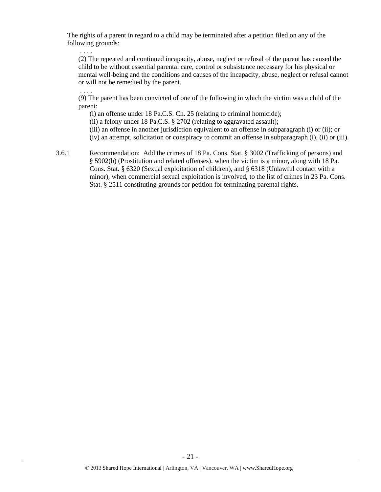The rights of a parent in regard to a child may be terminated after a petition filed on any of the following grounds:

. . . .

(2) The repeated and continued incapacity, abuse, neglect or refusal of the parent has caused the child to be without essential parental care, control or subsistence necessary for his physical or mental well-being and the conditions and causes of the incapacity, abuse, neglect or refusal cannot or will not be remedied by the parent.

. . . . (9) The parent has been convicted of one of the following in which the victim was a child of the parent:

(i) an offense under 18 Pa.C.S. Ch. 25 (relating to criminal homicide);

(ii) a felony under 18 Pa.C.S. § 2702 (relating to aggravated assault);

(iii) an offense in another jurisdiction equivalent to an offense in subparagraph (i) or (ii); or

(iv) an attempt, solicitation or conspiracy to commit an offense in subparagraph (i), (ii) or (iii).

3.6.1 Recommendation: Add the crimes of 18 Pa. Cons. Stat. § 3002 (Trafficking of persons) and § 5902(b) (Prostitution and related offenses), when the victim is a minor, along with 18 Pa. Cons. Stat. § 6320 (Sexual exploitation of children), and § 6318 (Unlawful contact with a minor), when commercial sexual exploitation is involved, to the list of crimes in 23 Pa. Cons. Stat. § 2511 constituting grounds for petition for terminating parental rights.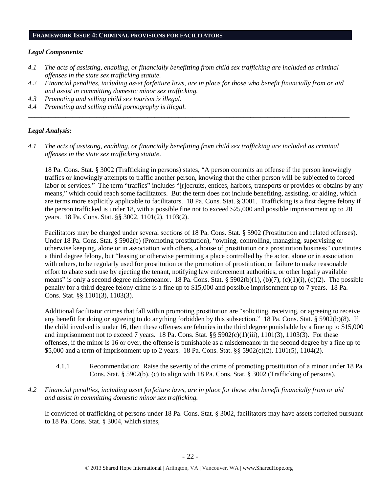#### **FRAMEWORK ISSUE 4: CRIMINAL PROVISIONS FOR FACILITATORS**

#### *Legal Components:*

- *4.1 The acts of assisting, enabling, or financially benefitting from child sex trafficking are included as criminal offenses in the state sex trafficking statute.*
- *4.2 Financial penalties, including asset forfeiture laws, are in place for those who benefit financially from or aid and assist in committing domestic minor sex trafficking.*

*\_\_\_\_\_\_\_\_\_\_\_\_\_\_\_\_\_\_\_\_\_\_\_\_\_\_\_\_\_\_\_\_\_\_\_\_\_\_\_\_\_\_\_\_\_\_\_\_\_\_\_\_\_\_\_\_\_\_\_\_\_\_\_\_\_\_\_\_\_\_\_\_\_\_\_\_\_\_\_\_\_\_\_\_\_\_\_\_\_\_\_\_\_\_*

- *4.3 Promoting and selling child sex tourism is illegal.*
- *4.4 Promoting and selling child pornography is illegal.*

#### *Legal Analysis:*

*4.1 The acts of assisting, enabling, or financially benefitting from child sex trafficking are included as criminal offenses in the state sex trafficking statute*.

18 Pa. Cons. Stat. § 3002 (Trafficking in persons) states, "A person commits an offense if the person knowingly traffics or knowingly attempts to traffic another person, knowing that the other person will be subjected to forced labor or services." The term "traffics" includes "[r]ecruits, entices, harbors, transports or provides or obtains by any means," which could reach some facilitators. But the term does not include benefiting, assisting, or aiding, which are terms more explicitly applicable to facilitators. 18 Pa. Cons. Stat. § 3001. Trafficking is a first degree felony if the person trafficked is under 18, with a possible fine not to exceed \$25,000 and possible imprisonment up to 20 years. 18 Pa. Cons. Stat. §§ 3002, 1101(2), 1103(2).

Facilitators may be charged under several sections of 18 Pa. Cons. Stat. § 5902 (Prostitution and related offenses). Under 18 Pa. Cons. Stat. § 5902(b) (Promoting prostitution), "owning, controlling, managing, supervising or otherwise keeping, alone or in association with others, a house of prostitution or a prostitution business" constitutes a third degree felony, but "leasing or otherwise permitting a place controlled by the actor, alone or in association with others, to be regularly used for prostitution or the promotion of prostitution, or failure to make reasonable effort to abate such use by ejecting the tenant, notifying law enforcement authorities, or other legally available means" is only a second degree misdemeanor. 18 Pa. Cons. Stat. § 5902(b)(1), (b)(7), (c)(1)(i), (c)(2). The possible penalty for a third degree felony crime is a fine up to \$15,000 and possible imprisonment up to 7 years. 18 Pa. Cons. Stat. §§ 1101(3), 1103(3).

Additional facilitator crimes that fall within promoting prostitution are "soliciting, receiving, or agreeing to receive any benefit for doing or agreeing to do anything forbidden by this subsection." 18 Pa. Cons. Stat. § 5902(b)(8). If the child involved is under 16, then these offenses are felonies in the third degree punishable by a fine up to \$15,000 and imprisonment not to exceed 7 years. 18 Pa. Cons. Stat.  $\S$ § 5902(c)(1)(iii), 1101(3), 1103(3). For these offenses, if the minor is 16 or over, the offense is punishable as a misdemeanor in the second degree by a fine up to \$5,000 and a term of imprisonment up to 2 years. 18 Pa. Cons. Stat. §§ 5902(c)(2), 1101(5), 1104(2).

- 4.1.1 Recommendation: Raise the severity of the crime of promoting prostitution of a minor under 18 Pa. Cons. Stat. § 5902(b), (c) to align with 18 Pa. Cons. Stat. § 3002 (Trafficking of persons).
- *4.2 Financial penalties, including asset forfeiture laws, are in place for those who benefit financially from or aid and assist in committing domestic minor sex trafficking.*

If convicted of trafficking of persons under 18 Pa. Cons. Stat. § 3002, facilitators may have assets forfeited pursuant to 18 Pa. Cons. Stat. § 3004, which states,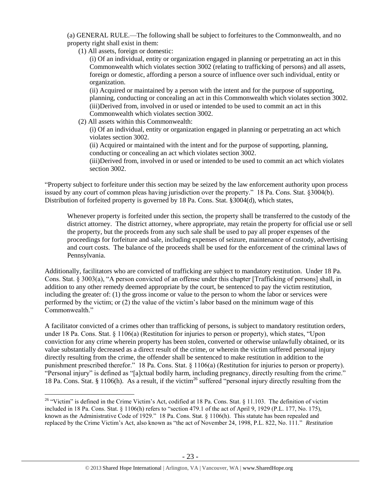(a) GENERAL RULE.—The following shall be subject to forfeitures to the Commonwealth, and no property right shall exist in them:

(1) All assets, foreign or domestic:

(i) Of an individual, entity or organization engaged in planning or perpetrating an act in this Commonwealth which violates section 3002 (relating to trafficking of persons) and all assets, foreign or domestic, affording a person a source of influence over such individual, entity or organization.

(ii) Acquired or maintained by a person with the intent and for the purpose of supporting, planning, conducting or concealing an act in this Commonwealth which violates section 3002. (iii)Derived from, involved in or used or intended to be used to commit an act in this Commonwealth which violates section 3002.

(2) All assets within this Commonwealth:

 $\overline{a}$ 

(i) Of an individual, entity or organization engaged in planning or perpetrating an act which violates section 3002.

(ii) Acquired or maintained with the intent and for the purpose of supporting, planning, conducting or concealing an act which violates section 3002.

(iii)Derived from, involved in or used or intended to be used to commit an act which violates section 3002.

"Property subject to forfeiture under this section may be seized by the law enforcement authority upon process issued by any court of common pleas having jurisdiction over the property." 18 Pa. Cons. Stat. §3004(b). Distribution of forfeited property is governed by 18 Pa. Cons. Stat. §3004(d), which states,

Whenever property is forfeited under this section, the property shall be transferred to the custody of the district attorney. The district attorney, where appropriate, may retain the property for official use or sell the property, but the proceeds from any such sale shall be used to pay all proper expenses of the proceedings for forfeiture and sale, including expenses of seizure, maintenance of custody, advertising and court costs. The balance of the proceeds shall be used for the enforcement of the criminal laws of Pennsylvania.

Additionally, facilitators who are convicted of trafficking are subject to mandatory restitution. Under 18 Pa. Cons. Stat. § 3003(a), "A person convicted of an offense under this chapter [Trafficking of persons] shall, in addition to any other remedy deemed appropriate by the court, be sentenced to pay the victim restitution, including the greater of: (1) the gross income or value to the person to whom the labor or services were performed by the victim; or (2) the value of the victim's labor based on the minimum wage of this Commonwealth<sup>"</sup>

A facilitator convicted of a crimes other than trafficking of persons, is subject to mandatory restitution orders, under 18 Pa. Cons. Stat. § 1106(a) (Restitution for injuries to person or property), which states, "Upon conviction for any crime wherein property has been stolen, converted or otherwise unlawfully obtained, or its value substantially decreased as a direct result of the crime, or wherein the victim suffered personal injury directly resulting from the crime, the offender shall be sentenced to make restitution in addition to the punishment prescribed therefor." 18 Pa. Cons. Stat. § 1106(a) (Restitution for injuries to person or property). "Personal injury" is defined as "[a]ctual bodily harm, including pregnancy, directly resulting from the crime." 18 Pa. Cons. Stat. § 1106(h). As a result, if the victim<sup>26</sup> suffered "personal injury directly resulting from the

<sup>&</sup>lt;sup>26</sup> "Victim" is defined in the Crime Victim's Act, codified at 18 Pa. Cons. Stat. § 11.103. The definition of victim included in 18 Pa. Cons. Stat. § 1106(h) refers to "section 479.1 of the act of April 9, 1929 (P.L. 177, No. 175), known as the Administrative Code of 1929." 18 Pa. Cons. Stat. § 1106(h). This statute has been repealed and replaced by the Crime Victim's Act, also known as "the act of November 24, 1998, P.L. 822, No. 111." *Restitution*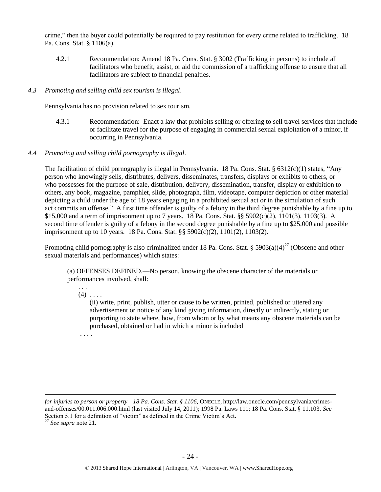crime," then the buyer could potentially be required to pay restitution for every crime related to trafficking. 18 Pa. Cons. Stat. § 1106(a).

4.2.1 Recommendation: Amend 18 Pa. Cons. Stat. § 3002 (Trafficking in persons) to include all facilitators who benefit, assist, or aid the commission of a trafficking offense to ensure that all facilitators are subject to financial penalties.

## *4.3 Promoting and selling child sex tourism is illegal*.

Pennsylvania has no provision related to sex tourism.

4.3.1 Recommendation: Enact a law that prohibits selling or offering to sell travel services that include or facilitate travel for the purpose of engaging in commercial sexual exploitation of a minor, if occurring in Pennsylvania.

## *4.4 Promoting and selling child pornography is illegal*.

The facilitation of child pornography is illegal in Pennsylvania. 18 Pa. Cons. Stat. § 6312(c)(1) states, "Any person who knowingly sells, distributes, delivers, disseminates, transfers, displays or exhibits to others, or who possesses for the purpose of sale, distribution, delivery, dissemination, transfer, display or exhibition to others, any book, magazine, pamphlet, slide, photograph, film, videotape, computer depiction or other material depicting a child under the age of 18 years engaging in a prohibited sexual act or in the simulation of such act commits an offense." A first time offender is guilty of a felony in the third degree punishable by a fine up to \$15,000 and a term of imprisonment up to 7 years. 18 Pa. Cons. Stat. §§ 5902(c)(2), 1101(3), 1103(3). A second time offender is guilty of a felony in the second degree punishable by a fine up to \$25,000 and possible imprisonment up to 10 years. 18 Pa. Cons. Stat. §§ 5902(c)(2), 1101(2), 1103(2).

Promoting child pornography is also criminalized under 18 Pa. Cons. Stat. § 5903(a)(4)<sup>27</sup> (Obscene and other sexual materials and performances) which states:

(a) OFFENSES DEFINED.—No person, knowing the obscene character of the materials or performances involved, shall:

#### . . .  $(4)$  ...

(ii) write, print, publish, utter or cause to be written, printed, published or uttered any advertisement or notice of any kind giving information, directly or indirectly, stating or purporting to state where, how, from whom or by what means any obscene materials can be purchased, obtained or had in which a minor is included

. . . .

 $\overline{a}$ 

*for injuries to person or property—18 Pa. Cons. Stat. § 1106*, ONECLE, http://law.onecle.com/pennsylvania/crimesand-offenses/00.011.006.000.html (last visited July 14, 2011); 1998 Pa. Laws 111; 18 Pa. Cons. Stat. § 11.103. *See* Section 5.1 for a definition of "victim" as defined in the Crime Victim's Act. <sup>27</sup> *See supra* note [21.](#page-16-0)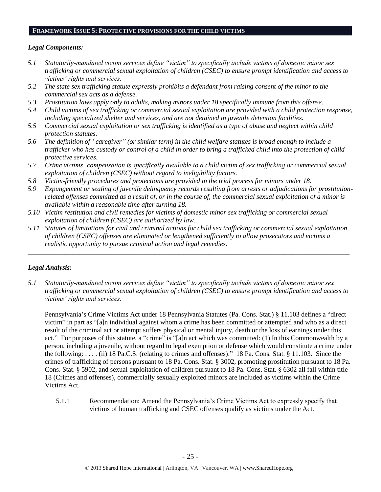#### **FRAMEWORK ISSUE 5: PROTECTIVE PROVISIONS FOR THE CHILD VICTIMS**

## *Legal Components:*

- *5.1 Statutorily-mandated victim services define "victim" to specifically include victims of domestic minor sex trafficking or commercial sexual exploitation of children (CSEC) to ensure prompt identification and access to victims' rights and services.*
- *5.2 The state sex trafficking statute expressly prohibits a defendant from raising consent of the minor to the commercial sex acts as a defense.*
- *5.3 Prostitution laws apply only to adults, making minors under 18 specifically immune from this offense.*
- *5.4 Child victims of sex trafficking or commercial sexual exploitation are provided with a child protection response, including specialized shelter and services, and are not detained in juvenile detention facilities.*
- *5.5 Commercial sexual exploitation or sex trafficking is identified as a type of abuse and neglect within child protection statutes.*
- *5.6 The definition of "caregiver" (or similar term) in the child welfare statutes is broad enough to include a trafficker who has custody or control of a child in order to bring a trafficked child into the protection of child protective services.*
- *5.7 Crime victims' compensation is specifically available to a child victim of sex trafficking or commercial sexual exploitation of children (CSEC) without regard to ineligibility factors.*
- *5.8 Victim-friendly procedures and protections are provided in the trial process for minors under 18.*
- *5.9 Expungement or sealing of juvenile delinquency records resulting from arrests or adjudications for prostitutionrelated offenses committed as a result of, or in the course of, the commercial sexual exploitation of a minor is available within a reasonable time after turning 18.*
- *5.10 Victim restitution and civil remedies for victims of domestic minor sex trafficking or commercial sexual exploitation of children (CSEC) are authorized by law.*
- *5.11 Statutes of limitations for civil and criminal actions for child sex trafficking or commercial sexual exploitation of children (CSEC) offenses are eliminated or lengthened sufficiently to allow prosecutors and victims a realistic opportunity to pursue criminal action and legal remedies.*

*\_\_\_\_\_\_\_\_\_\_\_\_\_\_\_\_\_\_\_\_\_\_\_\_\_\_\_\_\_\_\_\_\_\_\_\_\_\_\_\_\_\_\_\_\_\_\_\_\_\_\_\_\_\_\_\_\_\_\_\_\_\_\_\_\_\_\_\_\_\_\_\_\_\_\_\_\_\_\_\_\_\_\_\_\_\_\_\_\_\_\_\_\_\_*

## *Legal Analysis:*

*5.1 Statutorily-mandated victim services define "victim" to specifically include victims of domestic minor sex trafficking or commercial sexual exploitation of children (CSEC) to ensure prompt identification and access to victims' rights and services.*

Pennsylvania's Crime Victims Act under 18 Pennsylvania Statutes (Pa. Cons. Stat.) § 11.103 defines a "direct victim" in part as "[a]n individual against whom a crime has been committed or attempted and who as a direct result of the criminal act or attempt suffers physical or mental injury, death or the loss of earnings under this act." For purposes of this statute, a "crime" is "[a]n act which was committed: (1) In this Commonwealth by a person, including a juvenile, without regard to legal exemption or defense which would constitute a crime under the following: . . . . (ii) 18 Pa.C.S. (relating to crimes and offenses)." 18 Pa. Cons. Stat. § 11.103. Since the crimes of trafficking of persons pursuant to 18 Pa. Cons. Stat. § 3002, promoting prostitution pursuant to 18 Pa. Cons. Stat. § 5902, and sexual exploitation of children pursuant to 18 Pa. Cons. Stat. § 6302 all fall within title 18 (Crimes and offenses), commercially sexually exploited minors are included as victims within the Crime Victims Act.

5.1.1 Recommendation: Amend the Pennsylvania's Crime Victims Act to expressly specify that victims of human trafficking and CSEC offenses qualify as victims under the Act.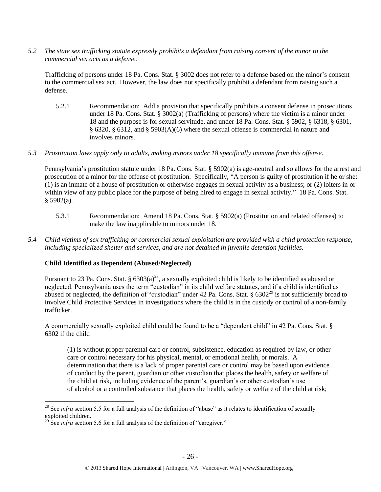*5.2 The state sex trafficking statute expressly prohibits a defendant from raising consent of the minor to the commercial sex acts as a defense.*

Trafficking of persons under 18 Pa. Cons. Stat. § 3002 does not refer to a defense based on the minor's consent to the commercial sex act. However, the law does not specifically prohibit a defendant from raising such a defense.

- 5.2.1 Recommendation: Add a provision that specifically prohibits a consent defense in prosecutions under 18 Pa. Cons. Stat. § 3002(a) (Trafficking of persons) where the victim is a minor under 18 and the purpose is for sexual servitude, and under 18 Pa. Cons. Stat. § 5902, § 6318, § 6301, § 6320, § 6312, and § 5903(A)(6) where the sexual offense is commercial in nature and involves minors.
- *5.3 Prostitution laws apply only to adults, making minors under 18 specifically immune from this offense.*

Pennsylvania's prostitution statute under 18 Pa. Cons. Stat. § 5902(a) is age-neutral and so allows for the arrest and prosecution of a minor for the offense of prostitution. Specifically, "A person is guilty of prostitution if he or she: (1) is an inmate of a house of prostitution or otherwise engages in sexual activity as a business; or (2) loiters in or within view of any public place for the purpose of being hired to engage in sexual activity." 18 Pa. Cons. Stat.  $§$  5902(a).

- 5.3.1 Recommendation: Amend 18 Pa. Cons. Stat. § 5902(a) (Prostitution and related offenses) to make the law inapplicable to minors under 18.
- *5.4 Child victims of sex trafficking or commercial sexual exploitation are provided with a child protection response, including specialized shelter and services, and are not detained in juvenile detention facilities.*

## **Child Identified as Dependent (Abused/Neglected)**

Pursuant to 23 Pa. Cons. Stat. §  $6303(a)^{28}$ , a sexually exploited child is likely to be identified as abused or neglected. Pennsylvania uses the term "custodian" in its child welfare statutes, and if a child is identified as abused or neglected, the definition of "custodian" under 42 Pa. Cons. Stat.  $\S 6302^{29}$  is not sufficiently broad to involve Child Protective Services in investigations where the child is in the custody or control of a non-family trafficker.

A commercially sexually exploited child could be found to be a "dependent child" in 42 Pa. Cons. Stat. § 6302 if the child

(1) is without proper parental care or control, subsistence, education as required by law, or other care or control necessary for his physical, mental, or emotional health, or morals. A determination that there is a lack of proper parental care or control may be based upon evidence of conduct by the parent, guardian or other custodian that places the health, safety or welfare of the child at risk, including evidence of the parent's, guardian's or other custodian's use of alcohol or a controlled substance that places the health, safety or welfare of the child at risk;

<sup>&</sup>lt;sup>28</sup> See *infra* section 5.5 for a full analysis of the definition of "abuse" as it relates to identification of sexually exploited children.

<sup>&</sup>lt;sup>29</sup> See *infra* section 5.6 for a full analysis of the definition of "caregiver."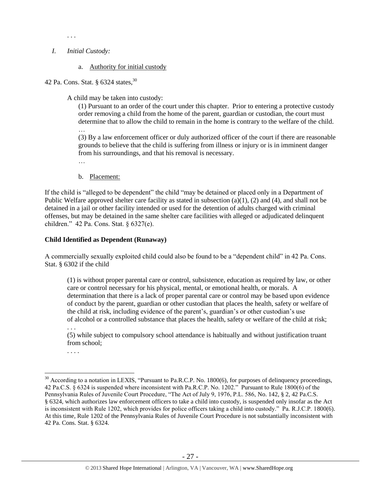## *I. Initial Custody:*

. . .

## a. Authority for initial custody

42 Pa. Cons. Stat. §  $6324$  states,  $30$ 

A child may be taken into custody:

(1) Pursuant to an order of the court under this chapter. Prior to entering a protective custody order removing a child from the home of the parent, guardian or custodian, the court must determine that to allow the child to remain in the home is contrary to the welfare of the child.

… (3) By a law enforcement officer or duly authorized officer of the court if there are reasonable grounds to believe that the child is suffering from illness or injury or is in imminent danger from his surroundings, and that his removal is necessary.

…

b. Placement:

If the child is "alleged to be dependent" the child "may be detained or placed only in a Department of Public Welfare approved shelter care facility as stated in subsection  $(a)(1)$ ,  $(2)$  and  $(4)$ , and shall not be detained in a jail or other facility intended or used for the detention of adults charged with criminal offenses, but may be detained in the same shelter care facilities with alleged or adjudicated delinquent children." 42 Pa. Cons. Stat. § 6327(e).

## **Child Identified as Dependent (Runaway)**

A commercially sexually exploited child could also be found to be a "dependent child" in 42 Pa. Cons. Stat. § 6302 if the child

(1) is without proper parental care or control, subsistence, education as required by law, or other care or control necessary for his physical, mental, or emotional health, or morals. A determination that there is a lack of proper parental care or control may be based upon evidence of conduct by the parent, guardian or other custodian that places the health, safety or welfare of the child at risk, including evidence of the parent's, guardian's or other custodian's use of alcohol or a controlled substance that places the health, safety or welfare of the child at risk; . . .

(5) while subject to compulsory school attendance is habitually and without justification truant from school;

. . . .

 $\overline{a}$  $30$  According to a notation in LEXIS, "Pursuant to Pa.R.C.P. No. 1800(6), for purposes of delinquency proceedings, 42 Pa.C.S. § 6324 is suspended where inconsistent with Pa.R.C.P. No. 1202." Pursuant to Rule 1800(6) of the Pennsylvania Rules of Juvenile Court Procedure, "The Act of July 9, 1976, P.L. 586, No. 142, § 2, 42 Pa.C.S. § 6324, which authorizes law enforcement officers to take a child into custody, is suspended only insofar as the Act is inconsistent with Rule 1202, which provides for police officers taking a child into custody." Pa. R.J.C.P. 1800(6). At this time, Rule 1202 of the Pennsylvania Rules of Juvenile Court Procedure is not substantially inconsistent with 42 Pa. Cons. Stat. § 6324.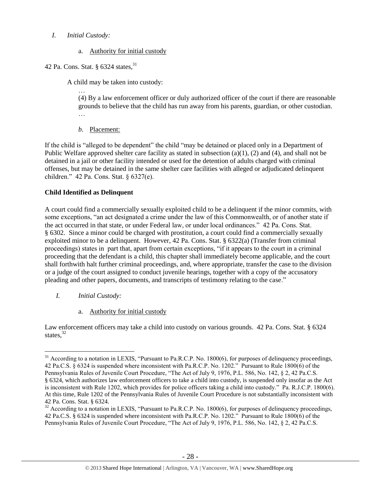## *I. Initial Custody:*

a. Authority for initial custody

## 42 Pa. Cons. Stat. § 6324 states.<sup>31</sup>

A child may be taken into custody:

… (4) By a law enforcement officer or duly authorized officer of the court if there are reasonable grounds to believe that the child has run away from his parents, guardian, or other custodian. …

*b.* Placement:

If the child is "alleged to be dependent" the child "may be detained or placed only in a Department of Public Welfare approved shelter care facility as stated in subsection  $(a)(1)$ ,  $(2)$  and  $(4)$ , and shall not be detained in a jail or other facility intended or used for the detention of adults charged with criminal offenses, but may be detained in the same shelter care facilities with alleged or adjudicated delinquent children." 42 Pa. Cons. Stat. § 6327(e).

## **Child Identified as Delinquent**

A court could find a commercially sexually exploited child to be a delinquent if the minor commits, with some exceptions, "an act designated a crime under the law of this Commonwealth, or of another state if the act occurred in that state, or under Federal law, or under local ordinances." 42 Pa. Cons. Stat. § 6302. Since a minor could be charged with prostitution, a court could find a commercially sexually exploited minor to be a delinquent. However, 42 Pa. Cons. Stat. § 6322(a) (Transfer from criminal proceedings) states in part that, apart from certain exceptions, "if it appears to the court in a criminal proceeding that the defendant is a child, this chapter shall immediately become applicable, and the court shall forthwith halt further criminal proceedings, and, where appropriate, transfer the case to the division or a judge of the court assigned to conduct juvenile hearings, together with a copy of the accusatory pleading and other papers, documents, and transcripts of testimony relating to the case."

*I. Initial Custody:* 

 $\overline{a}$ 

a. Authority for initial custody

Law enforcement officers may take a child into custody on various grounds. 42 Pa. Cons. Stat. § 6324 states. $32$ 

 $31$  According to a notation in LEXIS, "Pursuant to Pa.R.C.P. No. 1800(6), for purposes of delinquency proceedings, 42 Pa.C.S. § 6324 is suspended where inconsistent with Pa.R.C.P. No. 1202." Pursuant to Rule 1800(6) of the Pennsylvania Rules of Juvenile Court Procedure, "The Act of July 9, 1976, P.L. 586, No. 142, § 2, 42 Pa.C.S. § 6324, which authorizes law enforcement officers to take a child into custody, is suspended only insofar as the Act is inconsistent with Rule 1202, which provides for police officers taking a child into custody." Pa. R.J.C.P. 1800(6). At this time, Rule 1202 of the Pennsylvania Rules of Juvenile Court Procedure is not substantially inconsistent with 42 Pa. Cons. Stat. § 6324.

<sup>&</sup>lt;sup>32</sup> According to a notation in LEXIS, "Pursuant to Pa.R.C.P. No. 1800(6), for purposes of delinquency proceedings, 42 Pa.C.S. § 6324 is suspended where inconsistent with Pa.R.C.P. No. 1202." Pursuant to Rule 1800(6) of the Pennsylvania Rules of Juvenile Court Procedure, "The Act of July 9, 1976, P.L. 586, No. 142, § 2, 42 Pa.C.S.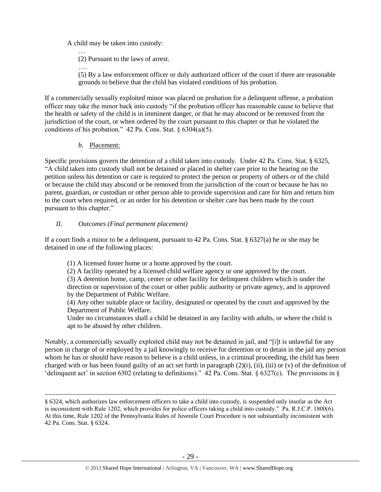A child may be taken into custody:

… (2) Pursuant to the laws of arrest.

….

(5) By a law enforcement officer or duly authorized officer of the court if there are reasonable grounds to believe that the child has violated conditions of his probation.

If a commercially sexually exploited minor was placed on probation for a delinquent offense, a probation officer may take the minor back into custody "if the probation officer has reasonable cause to believe that the health or safety of the child is in imminent danger, or that he may abscond or be removed from the jurisdiction of the court, or when ordered by the court pursuant to this chapter or that he violated the conditions of his probation."  $42$  Pa. Cons. Stat. §  $6304(a)(5)$ .

*b.* Placement:

 $\overline{a}$ 

Specific provisions govern the detention of a child taken into custody. Under 42 Pa. Cons. Stat. § 6325, "A child taken into custody shall not be detained or placed in shelter care prior to the hearing on the petition unless his detention or care is required to protect the person or property of others or of the child or because the child may abscond or be removed from the jurisdiction of the court or because he has no parent, guardian, or custodian or other person able to provide supervision and care for him and return him to the court when required, or an order for his detention or shelter care has been made by the court pursuant to this chapter."

# *II. Outcomes (Final permanent placement)*

If a court finds a minor to be a delinquent, pursuant to 42 Pa. Cons. Stat. § 6327(a) he or she may be detained in one of the following places:

(1) A licensed foster home or a home approved by the court.

(2) A facility operated by a licensed child welfare agency or one approved by the court. (3) A detention home, camp, center or other facility for delinquent children which is under the direction or supervision of the court or other public authority or private agency, and is approved by the Department of Public Welfare.

(4) Any other suitable place or facility, designated or operated by the court and approved by the Department of Public Welfare.

Under no circumstances shall a child be detained in any facility with adults, or where the child is apt to be abused by other children.

Notably, a commercially sexually exploited child may not be detained in jail, and "[i]t is unlawful for any person in charge of or employed by a jail knowingly to receive for detention or to detain in the jail any person whom he has or should have reason to believe is a child unless, in a criminal proceeding, the child has been charged with or has been found guilty of an act set forth in paragraph  $(2)(i)$ , (ii), (iii) or (v) of the definition of 'delinquent act' in section 6302 (relating to definitions)." 42 Pa. Cons. Stat. § 6327(c). The provisions in §

<sup>§ 6324,</sup> which authorizes law enforcement officers to take a child into custody, is suspended only insofar as the Act is inconsistent with Rule 1202, which provides for police officers taking a child into custody." Pa. R.J.C.P. 1800(6). At this time, Rule 1202 of the Pennsylvania Rules of Juvenile Court Procedure is not substantially inconsistent with 42 Pa. Cons. Stat. § 6324.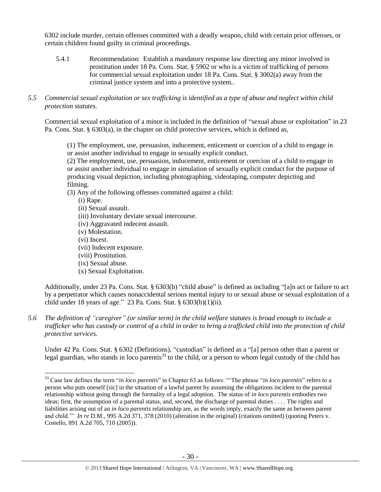6302 include murder, certain offenses committed with a deadly weapon, child with certain prior offenses, or certain children found guilty in criminal proceedings.

- 5.4.1 Recommendation: Establish a mandatory response law directing any minor involved in prostitution under 18 Pa. Cons. Stat. § 5902 or who is a victim of trafficking of persons for commercial sexual exploitation under 18 Pa. Cons. Stat. § 3002(a) away from the criminal justice system and into a protective system..
- *5.5 Commercial sexual exploitation or sex trafficking is identified as a type of abuse and neglect within child protection statutes.*

Commercial sexual exploitation of a minor is included in the definition of "sexual abuse or exploitation" in 23 Pa. Cons. Stat. § 6303(a), in the chapter on child protective services, which is defined as,

(1) The employment, use, persuasion, inducement, enticement or coercion of a child to engage in or assist another individual to engage in sexually explicit conduct.

(2) The employment, use, persuasion, inducement, enticement or coercion of a child to engage in or assist another individual to engage in simulation of sexually explicit conduct for the purpose of producing visual depiction, including photographing, videotaping, computer depicting and filming.

(3) Any of the following offenses committed against a child:

(i) Rape.

- (ii) Sexual assault.
- (iii) Involuntary deviate sexual intercourse.
- (iv) Aggravated indecent assault.
- (v) Molestation.
- (vi) Incest.

 $\overline{a}$ 

- (vii) Indecent exposure.
- (viii) Prostitution.
- (ix) Sexual abuse.
- (x) Sexual Exploitation.

Additionally, under 23 Pa. Cons. Stat. § 6303(b) "child abuse" is defined as including "[a]n act or failure to act by a perpetrator which causes nonaccidental serious mental injury to or sexual abuse or sexual exploitation of a child under 18 years of age." 23 Pa. Cons. Stat. § 6303(b)(1)(ii).

*5.6 The definition of "caregiver" (or similar term) in the child welfare statutes is broad enough to include a trafficker who has custody or control of a child in order to bring a trafficked child into the protection of child protective services.*

Under 42 Pa. Cons. Stat. § 6302 (Definitions), "custodian" is defined as a "[a] person other than a parent or legal guardian, who stands in loco parentis $33$  to the child, or a person to whom legal custody of the child has

<sup>33</sup> Case law defines the term "*in loco parentis*" in Chapter 63 as follows: "'The phrase "*in loco parentis*" refers to a person who puts oneself [sic] in the situation of a lawful parent by assuming the obligations incident to the parental relationship without going through the formality of a legal adoption. The status of *in loco parentis* embodies two ideas; first, the assumption of a parental status, and, second, the discharge of parental duties . . . . The rights and liabilities arising out of an *in loco parentis* relationship are, as the words imply, exactly the same as between parent and child.'" *In re* D.M.*,* 995 A.2d 371, 378 (2010) (alteration in the original) (citations omitted) (quoting Peters v. Costello*,* 891 A.2d 705, 710 (2005)).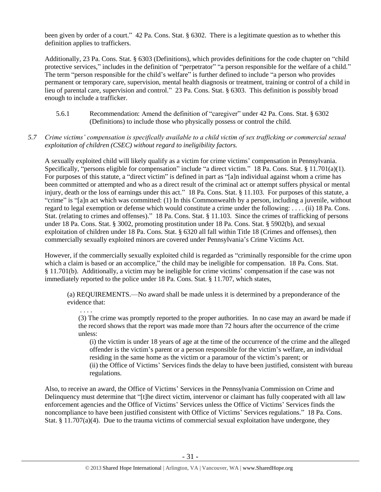been given by order of a court." 42 Pa. Cons. Stat. § 6302. There is a legitimate question as to whether this definition applies to traffickers.

Additionally, 23 Pa. Cons. Stat. § 6303 (Definitions), which provides definitions for the code chapter on "child protective services," includes in the definition of "perpetrator" "a person responsible for the welfare of a child." The term "person responsible for the child's welfare" is further defined to include "a person who provides permanent or temporary care, supervision, mental health diagnosis or treatment, training or control of a child in lieu of parental care, supervision and control." 23 Pa. Cons. Stat. § 6303. This definition is possibly broad enough to include a trafficker.

5.6.1 Recommendation: Amend the definition of "caregiver" under 42 Pa. Cons. Stat. § 6302 (Definitions) to include those who physically possess or control the child.

## *5.7 Crime victims' compensation is specifically available to a child victim of sex trafficking or commercial sexual exploitation of children (CSEC) without regard to ineligibility factors.*

A sexually exploited child will likely qualify as a victim for crime victims' compensation in Pennsylvania. Specifically, "persons eligible for compensation" include "a direct victim." 18 Pa. Cons. Stat. § 11.701(a)(1). For purposes of this statute, a "direct victim" is defined in part as "[a]n individual against whom a crime has been committed or attempted and who as a direct result of the criminal act or attempt suffers physical or mental injury, death or the loss of earnings under this act." 18 Pa. Cons. Stat. § 11.103. For purposes of this statute, a "crime" is "[a]n act which was committed: (1) In this Commonwealth by a person, including a juvenile, without regard to legal exemption or defense which would constitute a crime under the following: . . . . (ii) 18 Pa. Cons. Stat. (relating to crimes and offenses)." 18 Pa. Cons. Stat. § 11.103. Since the crimes of trafficking of persons under 18 Pa. Cons. Stat. § 3002, promoting prostitution under 18 Pa. Cons. Stat. § 5902(b), and sexual exploitation of children under 18 Pa. Cons. Stat. § 6320 all fall within Title 18 (Crimes and offenses), then commercially sexually exploited minors are covered under Pennsylvania's Crime Victims Act.

However, if the commercially sexually exploited child is regarded as "criminally responsible for the crime upon which a claim is based or an accomplice," the child may be ineligible for compensation. 18 Pa. Cons. Stat. § 11.701(b). Additionally, a victim may be ineligible for crime victims' compensation if the case was not immediately reported to the police under 18 Pa. Cons. Stat. § 11.707, which states,

(a) REQUIREMENTS.—No award shall be made unless it is determined by a preponderance of the evidence that:

. . . .

(3) The crime was promptly reported to the proper authorities. In no case may an award be made if the record shows that the report was made more than 72 hours after the occurrence of the crime unless:

(i) the victim is under 18 years of age at the time of the occurrence of the crime and the alleged offender is the victim's parent or a person responsible for the victim's welfare, an individual residing in the same home as the victim or a paramour of the victim's parent; or (ii) the Office of Victims' Services finds the delay to have been justified, consistent with bureau regulations.

Also, to receive an award, the Office of Victims' Services in the Pennsylvania Commission on Crime and Delinquency must determine that "[t]he direct victim, intervenor or claimant has fully cooperated with all law enforcement agencies and the Office of Victims' Services unless the Office of Victims' Services finds the noncompliance to have been justified consistent with Office of Victims' Services regulations." 18 Pa. Cons. Stat. § 11.707(a)(4). Due to the trauma victims of commercial sexual exploitation have undergone, they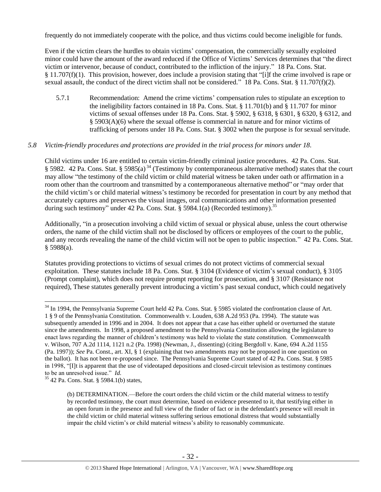frequently do not immediately cooperate with the police, and thus victims could become ineligible for funds.

Even if the victim clears the hurdles to obtain victims' compensation, the commercially sexually exploited minor could have the amount of the award reduced if the Office of Victims' Services determines that "the direct victim or intervenor, because of conduct, contributed to the infliction of the injury." 18 Pa. Cons. Stat. § 11.707(f)(1). This provision, however, does include a provision stating that "[i]f the crime involved is rape or sexual assault, the conduct of the direct victim shall not be considered." 18 Pa. Cons. Stat. § 11.707(f)(2).

5.7.1 Recommendation: Amend the crime victims' compensation rules to stipulate an exception to the ineligibility factors contained in 18 Pa. Cons. Stat. § 11.701(b) and § 11.707 for minor victims of sexual offenses under 18 Pa. Cons. Stat. § 5902, § 6318, § 6301, § 6320, § 6312, and § 5903(A)(6) where the sexual offense is commercial in nature and for minor victims of trafficking of persons under 18 Pa. Cons. Stat. § 3002 when the purpose is for sexual servitude.

## *5.8 Victim-friendly procedures and protections are provided in the trial process for minors under 18.*

Child victims under 16 are entitled to certain victim-friendly criminal justice procedures. 42 Pa. Cons. Stat. § 5982. 42 Pa. Cons. Stat. § 5985(a) <sup>34</sup> (Testimony by contemporaneous alternative method) states that the court may allow "the testimony of the child victim or child material witness be taken under oath or affirmation in a room other than the courtroom and transmitted by a contemporaneous alternative method" or "may order that the child victim's or child material witness's testimony be recorded for presentation in court by any method that accurately captures and preserves the visual images, oral communications and other information presented during such testimony" under 42 Pa. Cons. Stat. § 5984.1(a) (Recorded testimony).<sup>35</sup>

Additionally, "in a prosecution involving a child victim of sexual or physical abuse, unless the court otherwise orders, the name of the child victim shall not be disclosed by officers or employees of the court to the public, and any records revealing the name of the child victim will not be open to public inspection." 42 Pa. Cons. Stat. § 5988(a).

Statutes providing protections to victims of sexual crimes do not protect victims of commercial sexual exploitation. These statutes include 18 Pa. Cons. Stat. § 3104 (Evidence of victim's sexual conduct), § 3105 (Prompt complaint), which does not require prompt reporting for prosecution, and § 3107 (Resistance not required), These statutes generally prevent introducing a victim's past sexual conduct, which could negatively

<sup>&</sup>lt;sup>34</sup> In 1994, the Pennsylvania Supreme Court held 42 Pa. Cons. Stat. § 5985 violated the confrontation clause of Art. 1 § 9 of the Pennsylvania Constitution. Commonwealth v. Louden, 638 A.2d 953 (Pa. 1994). The statute was subsequently amended in 1996 and in 2004. It does not appear that a case has either upheld or overturned the statute since the amendments. In 1998, a proposed amendment to the Pennsylvania Constitution allowing the legislature to enact laws regarding the manner of children's testimony was held to violate the state constitution. Commonwealth v. Wilson, 707 A.2d 1114, 1121 n.2 (Pa. 1998) (Newman, J., dissenting) (citing Bergdoll v. Kane, 694 A.2d 1155 (Pa. 1997)); *See* Pa. Const., art. XI, § 1 (explaining that two amendments may not be proposed in one question on the ballot). It has not been re-proposed since. The Pennsylvania Supreme Court stated of 42 Pa. Cons. Stat. § 5985 in 1998, "[I]t is apparent that the use of videotaped depositions and closed-circuit television as testimony continues to be an unresolved issue." *Id.*

<sup>35</sup> 42 Pa. Cons. Stat. § 5984.1(b) states,

<sup>(</sup>b) DETERMINATION.—Before the court orders the child victim or the child material witness to testify by recorded testimony, the court must determine, based on evidence presented to it, that testifying either in an open forum in the presence and full view of the finder of fact or in the defendant's presence will result in the child victim or child material witness suffering serious emotional distress that would substantially impair the child victim's or child material witness's ability to reasonably communicate.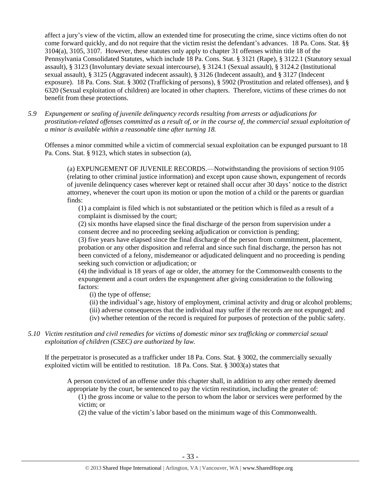affect a jury's view of the victim, allow an extended time for prosecuting the crime, since victims often do not come forward quickly, and do not require that the victim resist the defendant's advances. 18 Pa. Cons. Stat. §§ 3104(a), 3105, 3107. However, these statutes only apply to chapter 31 offenses within title 18 of the Pennsylvania Consolidated Statutes, which include 18 Pa. Cons. Stat. § 3121 (Rape), § 3122.1 (Statutory sexual assault), § 3123 (Involuntary deviate sexual intercourse), § 3124.1 (Sexual assault), § 3124.2 (Institutional sexual assault), § 3125 (Aggravated indecent assault), § 3126 (Indecent assault), and § 3127 (Indecent exposure). 18 Pa. Cons. Stat. § 3002 (Trafficking of persons), § 5902 (Prostitution and related offenses), and § 6320 (Sexual exploitation of children) are located in other chapters. Therefore, victims of these crimes do not benefit from these protections.

*5.9 Expungement or sealing of juvenile delinquency records resulting from arrests or adjudications for prostitution-related offenses committed as a result of, or in the course of, the commercial sexual exploitation of a minor is available within a reasonable time after turning 18.*

Offenses a minor committed while a victim of commercial sexual exploitation can be expunged pursuant to 18 Pa. Cons. Stat. § 9123, which states in subsection (a),

(a) EXPUNGEMENT OF JUVENILE RECORDS.—Notwithstanding the provisions of section 9105 (relating to other criminal justice information) and except upon cause shown, expungement of records of juvenile delinquency cases wherever kept or retained shall occur after 30 days' notice to the district attorney, whenever the court upon its motion or upon the motion of a child or the parents or guardian finds:

(1) a complaint is filed which is not substantiated or the petition which is filed as a result of a complaint is dismissed by the court;

(2) six months have elapsed since the final discharge of the person from supervision under a consent decree and no proceeding seeking adjudication or conviction is pending;

(3) five years have elapsed since the final discharge of the person from commitment, placement, probation or any other disposition and referral and since such final discharge, the person has not been convicted of a felony, misdemeanor or adjudicated delinquent and no proceeding is pending seeking such conviction or adjudication; or

(4) the individual is 18 years of age or older, the attorney for the Commonwealth consents to the expungement and a court orders the expungement after giving consideration to the following factors:

(i) the type of offense;

(ii) the individual's age, history of employment, criminal activity and drug or alcohol problems;

(iii) adverse consequences that the individual may suffer if the records are not expunged; and

(iv) whether retention of the record is required for purposes of protection of the public safety.

*5.10 Victim restitution and civil remedies for victims of domestic minor sex trafficking or commercial sexual exploitation of children (CSEC) are authorized by law.* 

If the perpetrator is prosecuted as a trafficker under 18 Pa. Cons. Stat. § 3002, the commercially sexually exploited victim will be entitled to restitution. 18 Pa. Cons. Stat. § 3003(a) states that

A person convicted of an offense under this chapter shall, in addition to any other remedy deemed appropriate by the court, be sentenced to pay the victim restitution, including the greater of:

(1) the gross income or value to the person to whom the labor or services were performed by the victim; or

(2) the value of the victim's labor based on the minimum wage of this Commonwealth.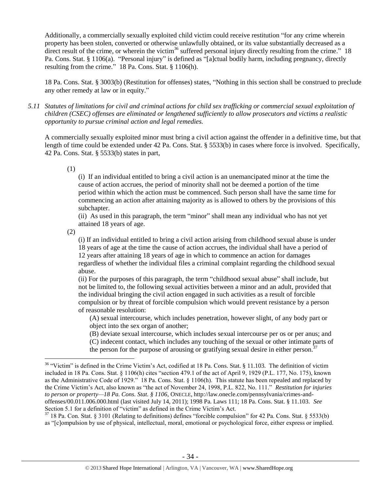Additionally, a commercially sexually exploited child victim could receive restitution "for any crime wherein property has been stolen, converted or otherwise unlawfully obtained, or its value substantially decreased as a direct result of the crime, or wherein the victim<sup>36</sup> suffered personal injury directly resulting from the crime." 18 Pa. Cons. Stat. § 1106(a). "Personal injury" is defined as "[a]ctual bodily harm, including pregnancy, directly resulting from the crime." 18 Pa. Cons. Stat. § 1106(h).

18 Pa. Cons. Stat. § 3003(b) (Restitution for offenses) states, "Nothing in this section shall be construed to preclude any other remedy at law or in equity."

*5.11 Statutes of limitations for civil and criminal actions for child sex trafficking or commercial sexual exploitation of children (CSEC) offenses are eliminated or lengthened sufficiently to allow prosecutors and victims a realistic opportunity to pursue criminal action and legal remedies.*

A commercially sexually exploited minor must bring a civil action against the offender in a definitive time, but that length of time could be extended under 42 Pa. Cons. Stat. § 5533(b) in cases where force is involved. Specifically, 42 Pa. Cons. Stat. § 5533(b) states in part,

(1)

(i) If an individual entitled to bring a civil action is an unemancipated minor at the time the cause of action accrues, the period of minority shall not be deemed a portion of the time period within which the action must be commenced. Such person shall have the same time for commencing an action after attaining majority as is allowed to others by the provisions of this subchapter.

(ii) As used in this paragraph, the term "minor" shall mean any individual who has not yet attained 18 years of age.

(2)

 $\overline{a}$ 

(i) If an individual entitled to bring a civil action arising from childhood sexual abuse is under 18 years of age at the time the cause of action accrues, the individual shall have a period of 12 years after attaining 18 years of age in which to commence an action for damages regardless of whether the individual files a criminal complaint regarding the childhood sexual abuse.

(ii) For the purposes of this paragraph, the term "childhood sexual abuse" shall include, but not be limited to, the following sexual activities between a minor and an adult, provided that the individual bringing the civil action engaged in such activities as a result of forcible compulsion or by threat of forcible compulsion which would prevent resistance by a person of reasonable resolution:

(A) sexual intercourse, which includes penetration, however slight, of any body part or object into the sex organ of another;

(B) deviate sexual intercourse, which includes sexual intercourse per os or per anus; and

(C) indecent contact, which includes any touching of the sexual or other intimate parts of

the person for the purpose of arousing or gratifying sexual desire in either person.<sup>37</sup>

<sup>37</sup> 18 Pa. Con. Stat. § 3101 (Relating to definitions) defines "forcible compulsion" for 42 Pa. Cons. Stat. § 5533(b) as "[c]ompulsion by use of physical, intellectual, moral, emotional or psychological force, either express or implied.

<sup>&</sup>lt;sup>36</sup> "Victim" is defined in the Crime Victim's Act, codified at 18 Pa. Cons. Stat. § 11.103. The definition of victim included in 18 Pa. Cons. Stat. § 1106(h) cites "section 479.1 of the act of April 9, 1929 (P.L. 177, No. 175), known as the Administrative Code of 1929." 18 Pa. Cons. Stat. § 1106(h). This statute has been repealed and replaced by the Crime Victim's Act, also known as "the act of November 24, 1998, P.L. 822, No. 111." *Restitution for injuries to person or property—18 Pa. Cons. Stat. § 1106*, ONECLE, http://law.onecle.com/pennsylvania/crimes-andoffenses/00.011.006.000.html (last visited July 14, 2011); 1998 Pa. Laws 111; 18 Pa. Cons. Stat. § 11.103. *See* Section 5.1 for a definition of "victim" as defined in the Crime Victim's Act.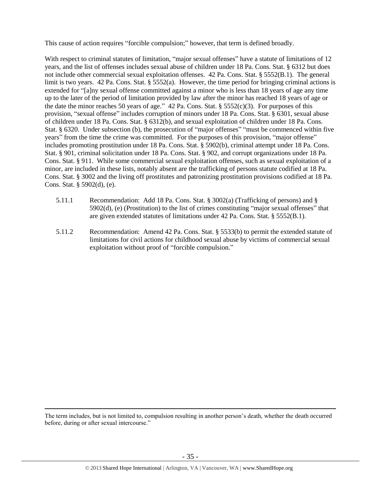This cause of action requires "forcible compulsion;" however, that term is defined broadly.

With respect to criminal statutes of limitation, "major sexual offenses" have a statute of limitations of 12 years, and the list of offenses includes sexual abuse of children under 18 Pa. Cons. Stat. § 6312 but does not include other commercial sexual exploitation offenses. 42 Pa. Cons. Stat. § 5552(B.1). The general limit is two years. 42 Pa. Cons. Stat. § 5552(a). However, the time period for bringing criminal actions is extended for "[a]ny sexual offense committed against a minor who is less than 18 years of age any time up to the later of the period of limitation provided by law after the minor has reached 18 years of age or the date the minor reaches 50 years of age." 42 Pa. Cons. Stat. §  $5552(c)(3)$ . For purposes of this provision, "sexual offense" includes corruption of minors under 18 Pa. Cons. Stat. § 6301, sexual abuse of children under 18 Pa. Cons. Stat. § 6312(b), and sexual exploitation of children under 18 Pa. Cons. Stat. § 6320. Under subsection (b), the prosecution of "major offenses" "must be commenced within five years" from the time the crime was committed. For the purposes of this provision, "major offense" includes promoting prostitution under 18 Pa. Cons. Stat. § 5902(b), criminal attempt under 18 Pa. Cons. Stat. § 901, criminal solicitation under 18 Pa. Cons. Stat. § 902, and corrupt organizations under 18 Pa. Cons. Stat. § 911. While some commercial sexual exploitation offenses, such as sexual exploitation of a minor, are included in these lists, notably absent are the trafficking of persons statute codified at 18 Pa. Cons. Stat. § 3002 and the living off prostitutes and patronizing prostitution provisions codified at 18 Pa. Cons. Stat. § 5902(d), (e).

- 5.11.1 Recommendation: Add 18 Pa. Cons. Stat. § 3002(a) (Trafficking of persons) and § 5902(d), (e) (Prostitution) to the list of crimes constituting "major sexual offenses" that are given extended statutes of limitations under 42 Pa. Cons. Stat. § 5552(B.1).
- 5.11.2 Recommendation: Amend 42 Pa. Cons. Stat. § 5533(b) to permit the extended statute of limitations for civil actions for childhood sexual abuse by victims of commercial sexual exploitation without proof of "forcible compulsion."

The term includes, but is not limited to, compulsion resulting in another person's death, whether the death occurred before, during or after sexual intercourse."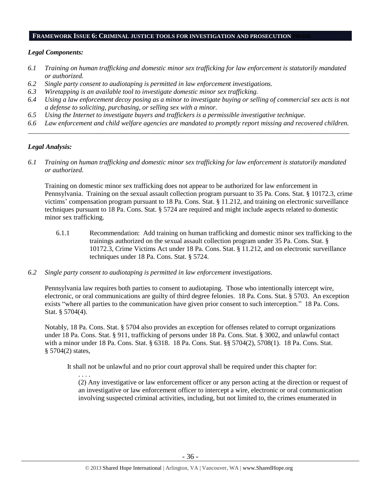#### **FRAMEWORK ISSUE 6: CRIMINAL JUSTICE TOOLS FOR INVESTIGATION AND PROSECUTION PROSE**

## *Legal Components:*

- *6.1 Training on human trafficking and domestic minor sex trafficking for law enforcement is statutorily mandated or authorized.*
- *6.2 Single party consent to audiotaping is permitted in law enforcement investigations.*
- *6.3 Wiretapping is an available tool to investigate domestic minor sex trafficking.*
- *6.4 Using a law enforcement decoy posing as a minor to investigate buying or selling of commercial sex acts is not a defense to soliciting, purchasing, or selling sex with a minor.*
- *6.5 Using the Internet to investigate buyers and traffickers is a permissible investigative technique.*
- *6.6 Law enforcement and child welfare agencies are mandated to promptly report missing and recovered children. \_\_\_\_\_\_\_\_\_\_\_\_\_\_\_\_\_\_\_\_\_\_\_\_\_\_\_\_\_\_\_\_\_\_\_\_\_\_\_\_\_\_\_\_\_\_\_\_\_\_\_\_\_\_\_\_\_\_\_\_\_\_\_\_\_\_\_\_\_\_\_\_\_\_\_\_\_\_\_\_\_\_\_\_\_\_\_\_\_\_\_\_\_\_*

## *Legal Analysis:*

*6.1 Training on human trafficking and domestic minor sex trafficking for law enforcement is statutorily mandated or authorized.*

Training on domestic minor sex trafficking does not appear to be authorized for law enforcement in Pennsylvania. Training on the sexual assault collection program pursuant to 35 Pa. Cons. Stat. § 10172.3, crime victims' compensation program pursuant to 18 Pa. Cons. Stat. § 11.212, and training on electronic surveillance techniques pursuant to 18 Pa. Cons. Stat. § 5724 are required and might include aspects related to domestic minor sex trafficking.

- 6.1.1 Recommendation: Add training on human trafficking and domestic minor sex trafficking to the trainings authorized on the sexual assault collection program under 35 Pa. Cons. Stat. § 10172.3, Crime Victims Act under 18 Pa. Cons. Stat. § 11.212, and on electronic surveillance techniques under 18 Pa. Cons. Stat. § 5724.
- *6.2 Single party consent to audiotaping is permitted in law enforcement investigations.*

Pennsylvania law requires both parties to consent to audiotaping. Those who intentionally intercept wire, electronic, or oral communications are guilty of third degree felonies. 18 Pa. Cons. Stat. § 5703. An exception exists "where all parties to the communication have given prior consent to such interception." 18 Pa. Cons. Stat. § 5704(4).

Notably, 18 Pa. Cons. Stat. § 5704 also provides an exception for offenses related to corrupt organizations under 18 Pa. Cons. Stat. § 911, trafficking of persons under 18 Pa. Cons. Stat. § 3002, and unlawful contact with a minor under 18 Pa. Cons. Stat. § 6318. 18 Pa. Cons. Stat. §§ 5704(2), 5708(1). 18 Pa. Cons. Stat. § 5704(2) states,

It shall not be unlawful and no prior court approval shall be required under this chapter for:

. . . . (2) Any investigative or law enforcement officer or any person acting at the direction or request of an investigative or law enforcement officer to intercept a wire, electronic or oral communication involving suspected criminal activities, including, but not limited to, the crimes enumerated in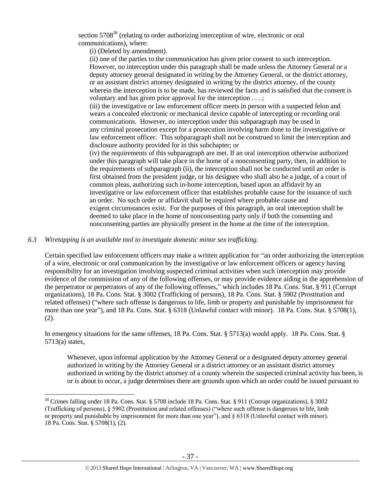section  $5708^{38}$  (relating to order authorizing interception of wire, electronic or oral communications), where:

(i) (Deleted by amendment).

(ii) one of the parties to the communication has given prior consent to such interception. However, no interception under this paragraph shall be made unless the Attorney General or a deputy attorney general designated in writing by the Attorney General, or the district attorney, or an assistant district attorney designated in writing by the district attorney, of the county wherein the interception is to be made, has reviewed the facts and is satisfied that the consent is voluntary and has given prior approval for the interception . . . ;

(iii) the investigative or law enforcement officer meets in person with a suspected felon and wears a concealed electronic or mechanical device capable of intercepting or recording oral communications. However, no interception under this subparagraph may be used in any criminal prosecution except for a prosecution involving harm done to the investigative or law enforcement officer. This subparagraph shall not be construed to limit the interception and disclosure authority provided for in this subchapter; or

(iv) the requirements of this subparagraph are met. If an oral interception otherwise authorized under this paragraph will take place in the home of a nonconsenting party, then, in addition to the requirements of subparagraph (ii), the interception shall not be conducted until an order is first obtained from the president judge, or his designee who shall also be a judge, of a court of common pleas, authorizing such in-home interception, based upon an affidavit by an investigative or law enforcement officer that establishes probable cause for the issuance of such an order. No such order or affidavit shall be required where probable cause and exigent circumstances exist. For the purposes of this paragraph, an oral interception shall be deemed to take place in the home of nonconsenting party only if both the consenting and nonconsenting parties are physically present in the home at the time of the interception.

#### *6.3 Wiretapping is an available tool to investigate domestic minor sex trafficking.*

 $\overline{a}$ 

Certain specified law enforcement officers may make a written application for "an order authorizing the interception of a wire, electronic or oral communication by the investigative or law enforcement officers or agency having responsibility for an investigation involving suspected criminal activities when such interception may provide evidence of the commission of any of the following offenses, or may provide evidence aiding in the apprehension of the perpetrator or perpetrators of any of the following offenses," which includes 18 Pa. Cons. Stat. § 911 (Corrupt organizations), 18 Pa. Cons. Stat. § 3002 (Trafficking of persons), 18 Pa. Cons. Stat. § 5902 (Prostitution and related offenses) ("where such offense is dangerous to life, limb or property and punishable by imprisonment for more than one year"), and 18 Pa. Cons. Stat. § 6318 (Unlawful contact with minor). 18 Pa. Cons. Stat. § 5708(1), (2).

In emergency situations for the same offenses, 18 Pa. Cons. Stat. § 5713(a) would apply. 18 Pa. Cons. Stat. § 5713(a) states,

Whenever, upon informal application by the Attorney General or a designated deputy attorney general authorized in writing by the Attorney General or a district attorney or an assistant district attorney authorized in writing by the district attorney of a county wherein the suspected criminal activity has been, is or is about to occur, a judge determines there are grounds upon which an order could be issued pursuant to

<sup>38</sup> Crimes falling under 18 Pa. Cons. Stat. § 5708 include 18 Pa. Cons. Stat. § 911 (Corrupt organizations), § 3002 (Trafficking of persons), § 5902 (Prostitution and related offenses) ("where such offense is dangerous to life, limb or property and punishable by imprisonment for more than one year"), and § 6318 (Unlawful contact with minor). 18 Pa. Cons. Stat. § 5708(1), (2).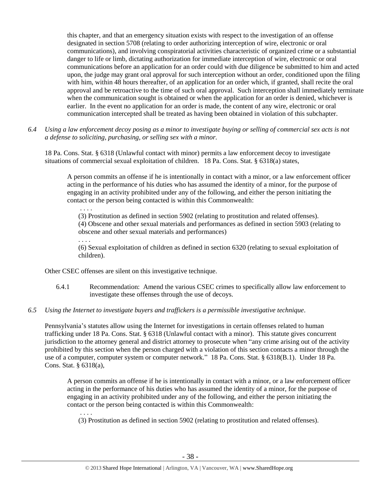this chapter, and that an emergency situation exists with respect to the investigation of an offense designated in section 5708 (relating to order authorizing interception of wire, electronic or oral communications), and involving conspiratorial activities characteristic of organized crime or a substantial danger to life or limb, dictating authorization for immediate interception of wire, electronic or oral communications before an application for an order could with due diligence be submitted to him and acted upon, the judge may grant oral approval for such interception without an order, conditioned upon the filing with him, within 48 hours thereafter, of an application for an order which, if granted, shall recite the oral approval and be retroactive to the time of such oral approval. Such interception shall immediately terminate when the communication sought is obtained or when the application for an order is denied, whichever is earlier. In the event no application for an order is made, the content of any wire, electronic or oral communication intercepted shall be treated as having been obtained in violation of this subchapter.

*6.4 Using a law enforcement decoy posing as a minor to investigate buying or selling of commercial sex acts is not a defense to soliciting, purchasing, or selling sex with a minor.*

18 Pa. Cons. Stat. § 6318 (Unlawful contact with minor) permits a law enforcement decoy to investigate situations of commercial sexual exploitation of children. 18 Pa. Cons. Stat. § 6318(a) states,

A person commits an offense if he is intentionally in contact with a minor, or a law enforcement officer acting in the performance of his duties who has assumed the identity of a minor, for the purpose of engaging in an activity prohibited under any of the following, and either the person initiating the contact or the person being contacted is within this Commonwealth:

. . . . (3) Prostitution as defined in section 5902 (relating to prostitution and related offenses). (4) Obscene and other sexual materials and performances as defined in section 5903 (relating to obscene and other sexual materials and performances)

. . . .

(6) Sexual exploitation of children as defined in section 6320 (relating to sexual exploitation of children).

Other CSEC offenses are silent on this investigative technique.

- 6.4.1 Recommendation: Amend the various CSEC crimes to specifically allow law enforcement to investigate these offenses through the use of decoys.
- *6.5 Using the Internet to investigate buyers and traffickers is a permissible investigative technique.*

Pennsylvania's statutes allow using the Internet for investigations in certain offenses related to human trafficking under 18 Pa. Cons. Stat. § 6318 (Unlawful contact with a minor). This statute gives concurrent jurisdiction to the attorney general and district attorney to prosecute when "any crime arising out of the activity prohibited by this section when the person charged with a violation of this section contacts a minor through the use of a computer, computer system or computer network." 18 Pa. Cons. Stat. § 6318(B.1). Under 18 Pa. Cons. Stat. § 6318(a),

A person commits an offense if he is intentionally in contact with a minor, or a law enforcement officer acting in the performance of his duties who has assumed the identity of a minor, for the purpose of engaging in an activity prohibited under any of the following, and either the person initiating the contact or the person being contacted is within this Commonwealth:

. . . . (3) Prostitution as defined in section 5902 (relating to prostitution and related offenses).